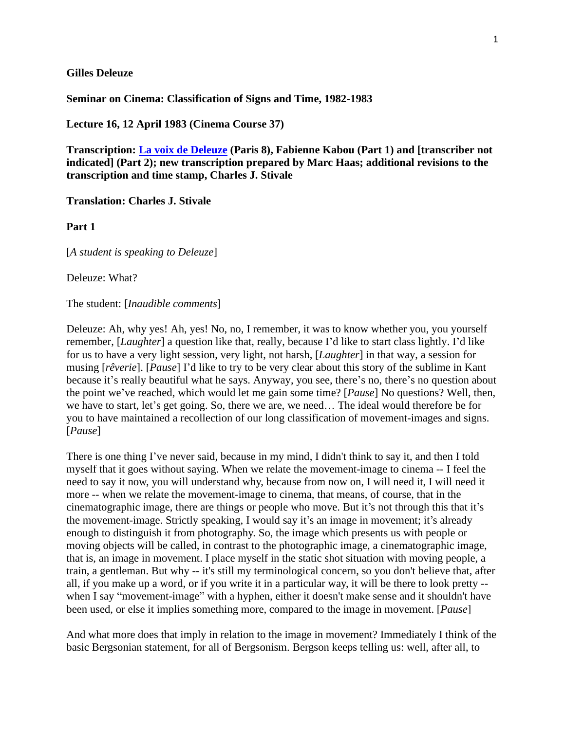## **Gilles Deleuze**

**Seminar on Cinema: Classification of Signs and Time, 1982-1983**

**Lecture 16, 12 April 1983 (Cinema Course 37)**

**Transcription: [La voix de Deleuze](http://www2.univ-paris8.fr/deleuze/article.php3?id_article=235) (Paris 8), Fabienne Kabou (Part 1) and [transcriber not indicated] (Part 2); new transcription prepared by Marc Haas; additional revisions to the transcription and time stamp, Charles J. Stivale**

**Translation: Charles J. Stivale**

**Part 1**

[*A student is speaking to Deleuze*]

Deleuze: What?

The student: [*Inaudible comments*]

Deleuze: Ah, why yes! Ah, yes! No, no, I remember, it was to know whether you, you yourself remember, [*Laughter*] a question like that, really, because I'd like to start class lightly. I'd like for us to have a very light session, very light, not harsh, [*Laughter*] in that way, a session for musing [*rêverie*]. [*Pause*] I'd like to try to be very clear about this story of the sublime in Kant because it's really beautiful what he says. Anyway, you see, there's no, there's no question about the point we've reached, which would let me gain some time? [*Pause*] No questions? Well, then, we have to start, let's get going. So, there we are, we need… The ideal would therefore be for you to have maintained a recollection of our long classification of movement-images and signs. [*Pause*]

There is one thing I've never said, because in my mind, I didn't think to say it, and then I told myself that it goes without saying. When we relate the movement-image to cinema -- I feel the need to say it now, you will understand why, because from now on, I will need it, I will need it more -- when we relate the movement-image to cinema, that means, of course, that in the cinematographic image, there are things or people who move. But it's not through this that it's the movement-image. Strictly speaking, I would say it's an image in movement; it's already enough to distinguish it from photography. So, the image which presents us with people or moving objects will be called, in contrast to the photographic image, a cinematographic image, that is, an image in movement. I place myself in the static shot situation with moving people, a train, a gentleman. But why -- it's still my terminological concern, so you don't believe that, after all, if you make up a word, or if you write it in a particular way, it will be there to look pretty - when I say "movement-image" with a hyphen, either it doesn't make sense and it shouldn't have been used, or else it implies something more, compared to the image in movement. [*Pause*]

And what more does that imply in relation to the image in movement? Immediately I think of the basic Bergsonian statement, for all of Bergsonism. Bergson keeps telling us: well, after all, to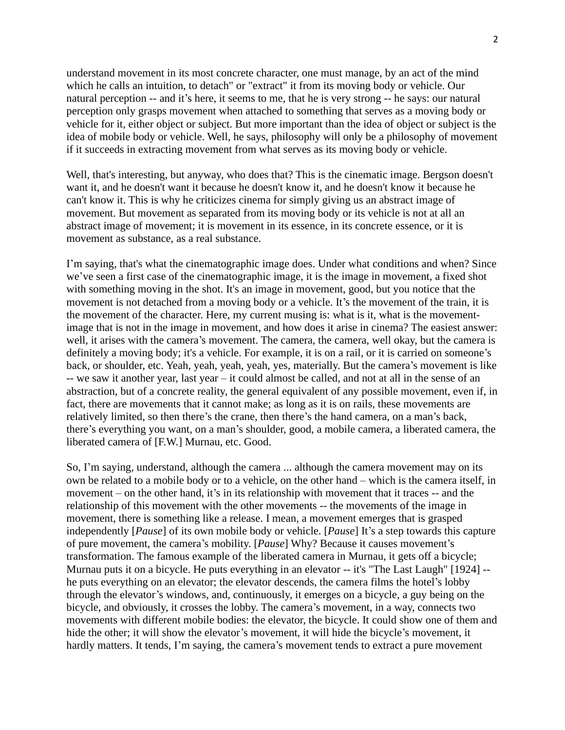understand movement in its most concrete character, one must manage, by an act of the mind which he calls an intuition, to detach" or "extract" it from its moving body or vehicle. Our natural perception -- and it's here, it seems to me, that he is very strong -- he says: our natural perception only grasps movement when attached to something that serves as a moving body or vehicle for it, either object or subject. But more important than the idea of object or subject is the idea of mobile body or vehicle. Well, he says, philosophy will only be a philosophy of movement if it succeeds in extracting movement from what serves as its moving body or vehicle.

Well, that's interesting, but anyway, who does that? This is the cinematic image. Bergson doesn't want it, and he doesn't want it because he doesn't know it, and he doesn't know it because he can't know it. This is why he criticizes cinema for simply giving us an abstract image of movement. But movement as separated from its moving body or its vehicle is not at all an abstract image of movement; it is movement in its essence, in its concrete essence, or it is movement as substance, as a real substance.

I'm saying, that's what the cinematographic image does. Under what conditions and when? Since we've seen a first case of the cinematographic image, it is the image in movement, a fixed shot with something moving in the shot. It's an image in movement, good, but you notice that the movement is not detached from a moving body or a vehicle. It's the movement of the train, it is the movement of the character. Here, my current musing is: what is it, what is the movementimage that is not in the image in movement, and how does it arise in cinema? The easiest answer: well, it arises with the camera's movement. The camera, the camera, well okay, but the camera is definitely a moving body; it's a vehicle. For example, it is on a rail, or it is carried on someone's back, or shoulder, etc. Yeah, yeah, yeah, yeah, yes, materially. But the camera's movement is like -- we saw it another year, last year – it could almost be called, and not at all in the sense of an abstraction, but of a concrete reality, the general equivalent of any possible movement, even if, in fact, there are movements that it cannot make; as long as it is on rails, these movements are relatively limited, so then there's the crane, then there's the hand camera, on a man's back, there's everything you want, on a man's shoulder, good, a mobile camera, a liberated camera, the liberated camera of [F.W.] Murnau, etc. Good.

So, I'm saying, understand, although the camera ... although the camera movement may on its own be related to a mobile body or to a vehicle, on the other hand – which is the camera itself, in movement – on the other hand, it's in its relationship with movement that it traces -- and the relationship of this movement with the other movements -- the movements of the image in movement, there is something like a release. I mean, a movement emerges that is grasped independently [*Pause*] of its own mobile body or vehicle. [*Pause*] It's a step towards this capture of pure movement, the camera's mobility. [*Pause*] Why? Because it causes movement's transformation. The famous example of the liberated camera in Murnau, it gets off a bicycle; Murnau puts it on a bicycle. He puts everything in an elevator -- it's "The Last Laugh" [1924] - he puts everything on an elevator; the elevator descends, the camera films the hotel's lobby through the elevator's windows, and, continuously, it emerges on a bicycle, a guy being on the bicycle, and obviously, it crosses the lobby. The camera's movement, in a way, connects two movements with different mobile bodies: the elevator, the bicycle. It could show one of them and hide the other; it will show the elevator's movement, it will hide the bicycle's movement, it hardly matters. It tends, I'm saying, the camera's movement tends to extract a pure movement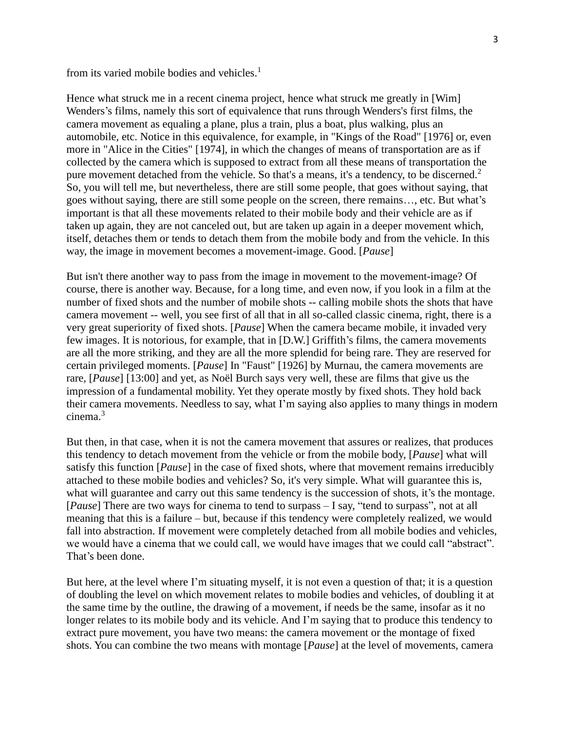from its varied mobile bodies and vehicles.<sup>1</sup>

Hence what struck me in a recent cinema project, hence what struck me greatly in [Wim] Wenders's films, namely this sort of equivalence that runs through Wenders's first films, the camera movement as equaling a plane, plus a train, plus a boat, plus walking, plus an automobile, etc. Notice in this equivalence, for example, in "Kings of the Road" [1976] or, even more in "Alice in the Cities" [1974], in which the changes of means of transportation are as if collected by the camera which is supposed to extract from all these means of transportation the pure movement detached from the vehicle. So that's a means, it's a tendency, to be discerned.<sup>2</sup> So, you will tell me, but nevertheless, there are still some people, that goes without saying, that goes without saying, there are still some people on the screen, there remains…, etc. But what's important is that all these movements related to their mobile body and their vehicle are as if taken up again, they are not canceled out, but are taken up again in a deeper movement which, itself, detaches them or tends to detach them from the mobile body and from the vehicle. In this way, the image in movement becomes a movement-image. Good. [*Pause*]

But isn't there another way to pass from the image in movement to the movement-image? Of course, there is another way. Because, for a long time, and even now, if you look in a film at the number of fixed shots and the number of mobile shots -- calling mobile shots the shots that have camera movement -- well, you see first of all that in all so-called classic cinema, right, there is a very great superiority of fixed shots. [*Pause*] When the camera became mobile, it invaded very few images. It is notorious, for example, that in [D.W.] Griffith's films, the camera movements are all the more striking, and they are all the more splendid for being rare. They are reserved for certain privileged moments. [*Pause*] In "Faust" [1926] by Murnau, the camera movements are rare, [*Pause*] [13:00] and yet, as Noël Burch says very well, these are films that give us the impression of a fundamental mobility. Yet they operate mostly by fixed shots. They hold back their camera movements. Needless to say, what I'm saying also applies to many things in modern cinema.<sup>3</sup>

But then, in that case, when it is not the camera movement that assures or realizes, that produces this tendency to detach movement from the vehicle or from the mobile body, [*Pause*] what will satisfy this function [*Pause*] in the case of fixed shots, where that movement remains irreducibly attached to these mobile bodies and vehicles? So, it's very simple. What will guarantee this is, what will guarantee and carry out this same tendency is the succession of shots, it's the montage. [*Pause*] There are two ways for cinema to tend to surpass – I say, "tend to surpass", not at all meaning that this is a failure – but, because if this tendency were completely realized, we would fall into abstraction. If movement were completely detached from all mobile bodies and vehicles, we would have a cinema that we could call, we would have images that we could call "abstract". That's been done.

But here, at the level where I'm situating myself, it is not even a question of that; it is a question of doubling the level on which movement relates to mobile bodies and vehicles, of doubling it at the same time by the outline, the drawing of a movement, if needs be the same, insofar as it no longer relates to its mobile body and its vehicle. And I'm saying that to produce this tendency to extract pure movement, you have two means: the camera movement or the montage of fixed shots. You can combine the two means with montage [*Pause*] at the level of movements, camera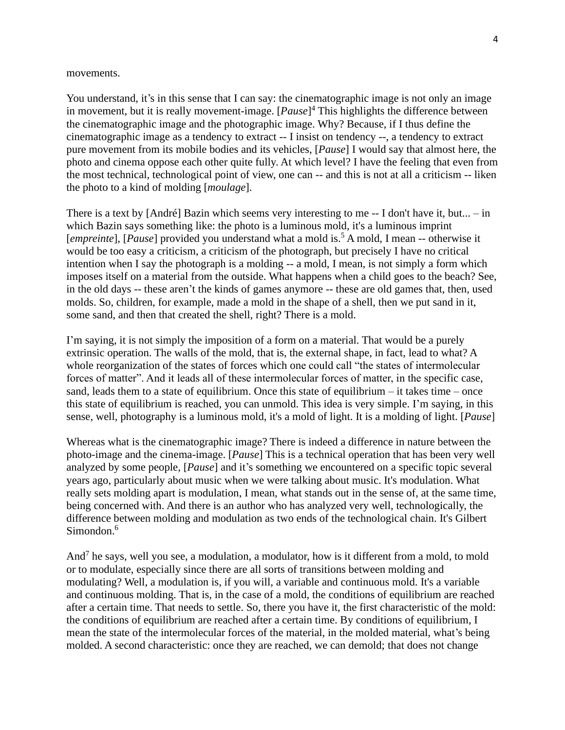## movements.

You understand, it's in this sense that I can say: the cinematographic image is not only an image in movement, but it is really movement-image. [*Pause*] <sup>4</sup> This highlights the difference between the cinematographic image and the photographic image. Why? Because, if I thus define the cinematographic image as a tendency to extract -- I insist on tendency --, a tendency to extract pure movement from its mobile bodies and its vehicles, [*Pause*] I would say that almost here, the photo and cinema oppose each other quite fully. At which level? I have the feeling that even from the most technical, technological point of view, one can -- and this is not at all a criticism -- liken the photo to a kind of molding [*moulage*].

There is a text by [André] Bazin which seems very interesting to me -- I don't have it, but... – in which Bazin says something like: the photo is a luminous mold, it's a luminous imprint [*empreinte*], [*Pause*] provided you understand what a mold is.<sup>5</sup> A mold, I mean -- otherwise it would be too easy a criticism, a criticism of the photograph, but precisely I have no critical intention when I say the photograph is a molding -- a mold, I mean, is not simply a form which imposes itself on a material from the outside. What happens when a child goes to the beach? See, in the old days -- these aren't the kinds of games anymore -- these are old games that, then, used molds. So, children, for example, made a mold in the shape of a shell, then we put sand in it, some sand, and then that created the shell, right? There is a mold.

I'm saying, it is not simply the imposition of a form on a material. That would be a purely extrinsic operation. The walls of the mold, that is, the external shape, in fact, lead to what? A whole reorganization of the states of forces which one could call "the states of intermolecular forces of matter". And it leads all of these intermolecular forces of matter, in the specific case, sand, leads them to a state of equilibrium. Once this state of equilibrium – it takes time – once this state of equilibrium is reached, you can unmold. This idea is very simple. I'm saying, in this sense, well, photography is a luminous mold, it's a mold of light. It is a molding of light. [*Pause*]

Whereas what is the cinematographic image? There is indeed a difference in nature between the photo-image and the cinema-image. [*Pause*] This is a technical operation that has been very well analyzed by some people, [*Pause*] and it's something we encountered on a specific topic several years ago, particularly about music when we were talking about music. It's modulation. What really sets molding apart is modulation, I mean, what stands out in the sense of, at the same time, being concerned with. And there is an author who has analyzed very well, technologically, the difference between molding and modulation as two ends of the technological chain. It's Gilbert Simondon $6$ 

And<sup>7</sup> he says, well you see, a modulation, a modulator, how is it different from a mold, to mold or to modulate, especially since there are all sorts of transitions between molding and modulating? Well, a modulation is, if you will, a variable and continuous mold. It's a variable and continuous molding. That is, in the case of a mold, the conditions of equilibrium are reached after a certain time. That needs to settle. So, there you have it, the first characteristic of the mold: the conditions of equilibrium are reached after a certain time. By conditions of equilibrium, I mean the state of the intermolecular forces of the material, in the molded material, what's being molded. A second characteristic: once they are reached, we can demold; that does not change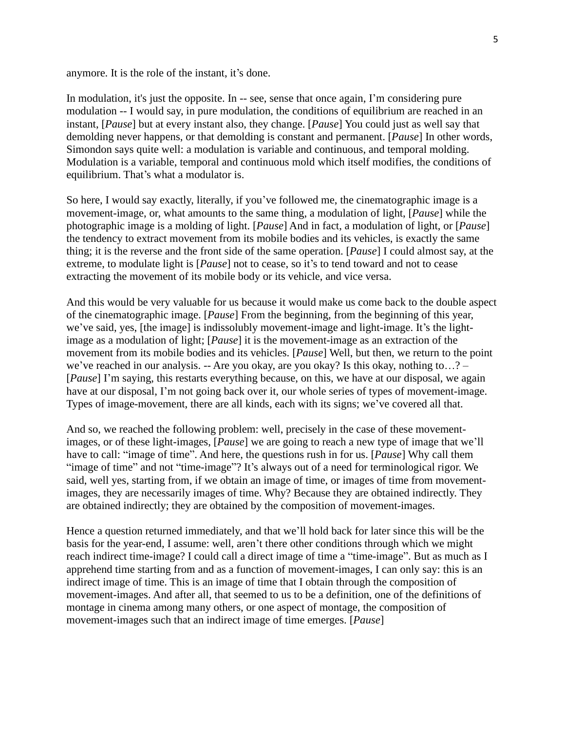anymore. It is the role of the instant, it's done.

In modulation, it's just the opposite. In -- see, sense that once again, I'm considering pure modulation -- I would say, in pure modulation, the conditions of equilibrium are reached in an instant, [*Pause*] but at every instant also, they change. [*Pause*] You could just as well say that demolding never happens, or that demolding is constant and permanent. [*Pause*] In other words, Simondon says quite well: a modulation is variable and continuous, and temporal molding. Modulation is a variable, temporal and continuous mold which itself modifies, the conditions of equilibrium. That's what a modulator is.

So here, I would say exactly, literally, if you've followed me, the cinematographic image is a movement-image, or, what amounts to the same thing, a modulation of light, [*Pause*] while the photographic image is a molding of light. [*Pause*] And in fact, a modulation of light, or [*Pause*] the tendency to extract movement from its mobile bodies and its vehicles, is exactly the same thing; it is the reverse and the front side of the same operation. [*Pause*] I could almost say, at the extreme, to modulate light is [*Pause*] not to cease, so it's to tend toward and not to cease extracting the movement of its mobile body or its vehicle, and vice versa.

And this would be very valuable for us because it would make us come back to the double aspect of the cinematographic image. [*Pause*] From the beginning, from the beginning of this year, we've said, yes, [the image] is indissolubly movement-image and light-image. It's the lightimage as a modulation of light; [*Pause*] it is the movement-image as an extraction of the movement from its mobile bodies and its vehicles. [*Pause*] Well, but then, we return to the point we've reached in our analysis. -- Are you okay, are you okay? Is this okay, nothing to…? – [*Pause*] I'm saying, this restarts everything because, on this, we have at our disposal, we again have at our disposal, I'm not going back over it, our whole series of types of movement-image. Types of image-movement, there are all kinds, each with its signs; we've covered all that.

And so, we reached the following problem: well, precisely in the case of these movementimages, or of these light-images, [*Pause*] we are going to reach a new type of image that we'll have to call: "image of time". And here, the questions rush in for us. [*Pause*] Why call them "image of time" and not "time-image"? It's always out of a need for terminological rigor. We said, well yes, starting from, if we obtain an image of time, or images of time from movementimages, they are necessarily images of time. Why? Because they are obtained indirectly. They are obtained indirectly; they are obtained by the composition of movement-images.

Hence a question returned immediately, and that we'll hold back for later since this will be the basis for the year-end, I assume: well, aren't there other conditions through which we might reach indirect time-image? I could call a direct image of time a "time-image". But as much as I apprehend time starting from and as a function of movement-images, I can only say: this is an indirect image of time. This is an image of time that I obtain through the composition of movement-images. And after all, that seemed to us to be a definition, one of the definitions of montage in cinema among many others, or one aspect of montage, the composition of movement-images such that an indirect image of time emerges. [*Pause*]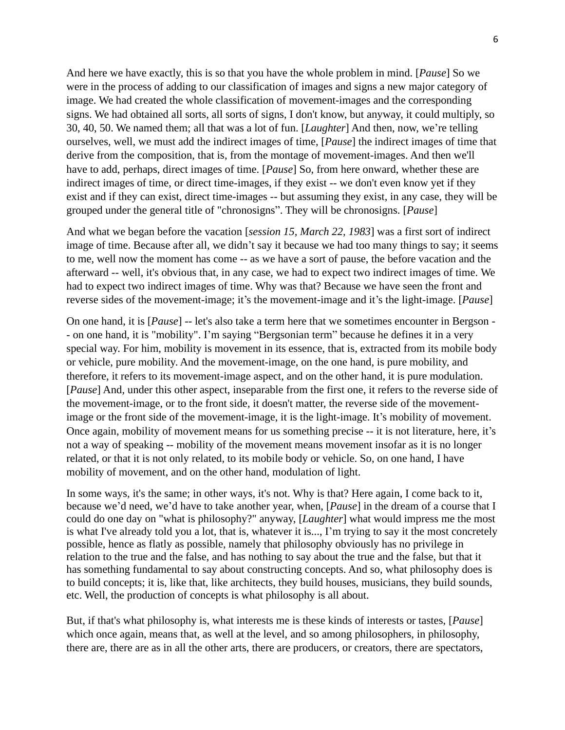And here we have exactly, this is so that you have the whole problem in mind. [*Pause*] So we were in the process of adding to our classification of images and signs a new major category of image. We had created the whole classification of movement-images and the corresponding signs. We had obtained all sorts, all sorts of signs, I don't know, but anyway, it could multiply, so 30, 40, 50. We named them; all that was a lot of fun. [*Laughter*] And then, now, we're telling ourselves, well, we must add the indirect images of time, [*Pause*] the indirect images of time that derive from the composition, that is, from the montage of movement-images. And then we'll have to add, perhaps, direct images of time. [*Pause*] So, from here onward, whether these are indirect images of time, or direct time-images, if they exist -- we don't even know yet if they exist and if they can exist, direct time-images -- but assuming they exist, in any case, they will be grouped under the general title of "chronosigns". They will be chronosigns. [*Pause*]

And what we began before the vacation [*session 15, March 22, 1983*] was a first sort of indirect image of time. Because after all, we didn't say it because we had too many things to say; it seems to me, well now the moment has come -- as we have a sort of pause, the before vacation and the afterward -- well, it's obvious that, in any case, we had to expect two indirect images of time. We had to expect two indirect images of time. Why was that? Because we have seen the front and reverse sides of the movement-image; it's the movement-image and it's the light-image. [*Pause*]

On one hand, it is [*Pause*] -- let's also take a term here that we sometimes encounter in Bergson - - on one hand, it is "mobility". I'm saying "Bergsonian term" because he defines it in a very special way. For him, mobility is movement in its essence, that is, extracted from its mobile body or vehicle, pure mobility. And the movement-image, on the one hand, is pure mobility, and therefore, it refers to its movement-image aspect, and on the other hand, it is pure modulation. [*Pause*] And, under this other aspect, inseparable from the first one, it refers to the reverse side of the movement-image, or to the front side, it doesn't matter, the reverse side of the movementimage or the front side of the movement-image, it is the light-image. It's mobility of movement. Once again, mobility of movement means for us something precise -- it is not literature, here, it's not a way of speaking -- mobility of the movement means movement insofar as it is no longer related, or that it is not only related, to its mobile body or vehicle. So, on one hand, I have mobility of movement, and on the other hand, modulation of light.

In some ways, it's the same; in other ways, it's not. Why is that? Here again, I come back to it, because we'd need, we'd have to take another year, when, [*Pause*] in the dream of a course that I could do one day on "what is philosophy?" anyway, [*Laughter*] what would impress me the most is what I've already told you a lot, that is, whatever it is..., I'm trying to say it the most concretely possible, hence as flatly as possible, namely that philosophy obviously has no privilege in relation to the true and the false, and has nothing to say about the true and the false, but that it has something fundamental to say about constructing concepts. And so, what philosophy does is to build concepts; it is, like that, like architects, they build houses, musicians, they build sounds, etc. Well, the production of concepts is what philosophy is all about.

But, if that's what philosophy is, what interests me is these kinds of interests or tastes, [*Pause*] which once again, means that, as well at the level, and so among philosophers, in philosophy, there are, there are as in all the other arts, there are producers, or creators, there are spectators,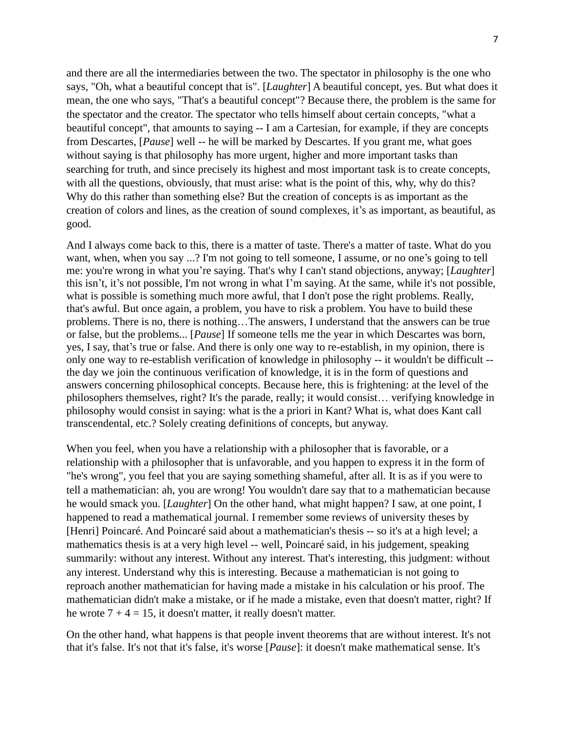and there are all the intermediaries between the two. The spectator in philosophy is the one who says, "Oh, what a beautiful concept that is". [*Laughter*] A beautiful concept, yes. But what does it mean, the one who says, "That's a beautiful concept"? Because there, the problem is the same for the spectator and the creator. The spectator who tells himself about certain concepts, "what a beautiful concept", that amounts to saying -- I am a Cartesian, for example, if they are concepts from Descartes, [*Pause*] well -- he will be marked by Descartes. If you grant me, what goes without saying is that philosophy has more urgent, higher and more important tasks than searching for truth, and since precisely its highest and most important task is to create concepts, with all the questions, obviously, that must arise: what is the point of this, why, why do this? Why do this rather than something else? But the creation of concepts is as important as the creation of colors and lines, as the creation of sound complexes, it's as important, as beautiful, as good.

And I always come back to this, there is a matter of taste. There's a matter of taste. What do you want, when, when you say ...? I'm not going to tell someone, I assume, or no one's going to tell me: you're wrong in what you're saying. That's why I can't stand objections, anyway; [*Laughter*] this isn't, it's not possible, I'm not wrong in what I'm saying. At the same, while it's not possible, what is possible is something much more awful, that I don't pose the right problems. Really, that's awful. But once again, a problem, you have to risk a problem. You have to build these problems. There is no, there is nothing…The answers, I understand that the answers can be true or false, but the problems... [*Pause*] If someone tells me the year in which Descartes was born, yes, I say, that's true or false. And there is only one way to re-establish, in my opinion, there is only one way to re-establish verification of knowledge in philosophy -- it wouldn't be difficult - the day we join the continuous verification of knowledge, it is in the form of questions and answers concerning philosophical concepts. Because here, this is frightening: at the level of the philosophers themselves, right? It's the parade, really; it would consist… verifying knowledge in philosophy would consist in saying: what is the a priori in Kant? What is, what does Kant call transcendental, etc.? Solely creating definitions of concepts, but anyway.

When you feel, when you have a relationship with a philosopher that is favorable, or a relationship with a philosopher that is unfavorable, and you happen to express it in the form of "he's wrong", you feel that you are saying something shameful, after all. It is as if you were to tell a mathematician: ah, you are wrong! You wouldn't dare say that to a mathematician because he would smack you. [*Laughter*] On the other hand, what might happen? I saw, at one point, I happened to read a mathematical journal. I remember some reviews of university theses by [Henri] Poincaré. And Poincaré said about a mathematician's thesis -- so it's at a high level; a mathematics thesis is at a very high level -- well, Poincaré said, in his judgement, speaking summarily: without any interest. Without any interest. That's interesting, this judgment: without any interest. Understand why this is interesting. Because a mathematician is not going to reproach another mathematician for having made a mistake in his calculation or his proof. The mathematician didn't make a mistake, or if he made a mistake, even that doesn't matter, right? If he wrote  $7 + 4 = 15$ , it doesn't matter, it really doesn't matter.

On the other hand, what happens is that people invent theorems that are without interest. It's not that it's false. It's not that it's false, it's worse [*Pause*]: it doesn't make mathematical sense. It's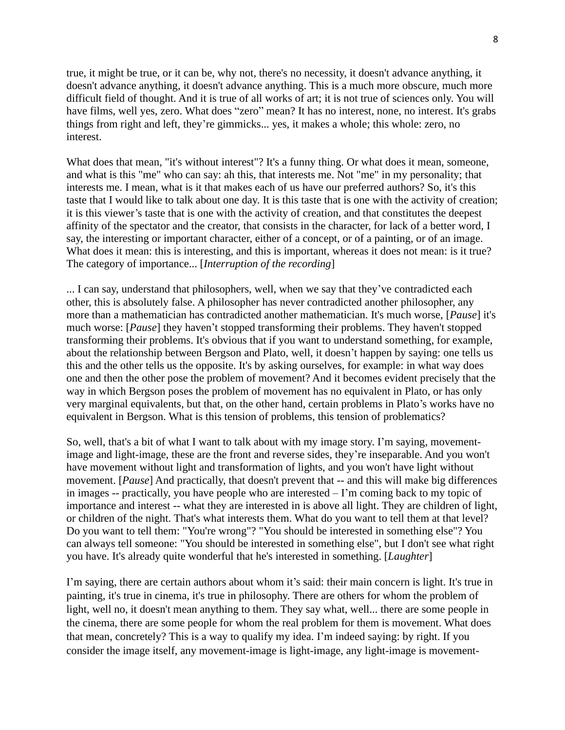true, it might be true, or it can be, why not, there's no necessity, it doesn't advance anything, it doesn't advance anything, it doesn't advance anything. This is a much more obscure, much more difficult field of thought. And it is true of all works of art; it is not true of sciences only. You will have films, well yes, zero. What does "zero" mean? It has no interest, none, no interest. It's grabs things from right and left, they're gimmicks... yes, it makes a whole; this whole: zero, no interest.

What does that mean, "it's without interest"? It's a funny thing. Or what does it mean, someone, and what is this "me" who can say: ah this, that interests me. Not "me" in my personality; that interests me. I mean, what is it that makes each of us have our preferred authors? So, it's this taste that I would like to talk about one day. It is this taste that is one with the activity of creation; it is this viewer's taste that is one with the activity of creation, and that constitutes the deepest affinity of the spectator and the creator, that consists in the character, for lack of a better word, I say, the interesting or important character, either of a concept, or of a painting, or of an image. What does it mean: this is interesting, and this is important, whereas it does not mean: is it true? The category of importance... [*Interruption of the recording*]

... I can say, understand that philosophers, well, when we say that they've contradicted each other, this is absolutely false. A philosopher has never contradicted another philosopher, any more than a mathematician has contradicted another mathematician. It's much worse, [*Pause*] it's much worse: [*Pause*] they haven't stopped transforming their problems. They haven't stopped transforming their problems. It's obvious that if you want to understand something, for example, about the relationship between Bergson and Plato, well, it doesn't happen by saying: one tells us this and the other tells us the opposite. It's by asking ourselves, for example: in what way does one and then the other pose the problem of movement? And it becomes evident precisely that the way in which Bergson poses the problem of movement has no equivalent in Plato, or has only very marginal equivalents, but that, on the other hand, certain problems in Plato's works have no equivalent in Bergson. What is this tension of problems, this tension of problematics?

So, well, that's a bit of what I want to talk about with my image story. I'm saying, movementimage and light-image, these are the front and reverse sides, they're inseparable. And you won't have movement without light and transformation of lights, and you won't have light without movement. [*Pause*] And practically, that doesn't prevent that -- and this will make big differences in images -- practically, you have people who are interested – I'm coming back to my topic of importance and interest -- what they are interested in is above all light. They are children of light, or children of the night. That's what interests them. What do you want to tell them at that level? Do you want to tell them: "You're wrong"? "You should be interested in something else"? You can always tell someone: "You should be interested in something else", but I don't see what right you have. It's already quite wonderful that he's interested in something. [*Laughter*]

I'm saying, there are certain authors about whom it's said: their main concern is light. It's true in painting, it's true in cinema, it's true in philosophy. There are others for whom the problem of light, well no, it doesn't mean anything to them. They say what, well... there are some people in the cinema, there are some people for whom the real problem for them is movement. What does that mean, concretely? This is a way to qualify my idea. I'm indeed saying: by right. If you consider the image itself, any movement-image is light-image, any light-image is movement-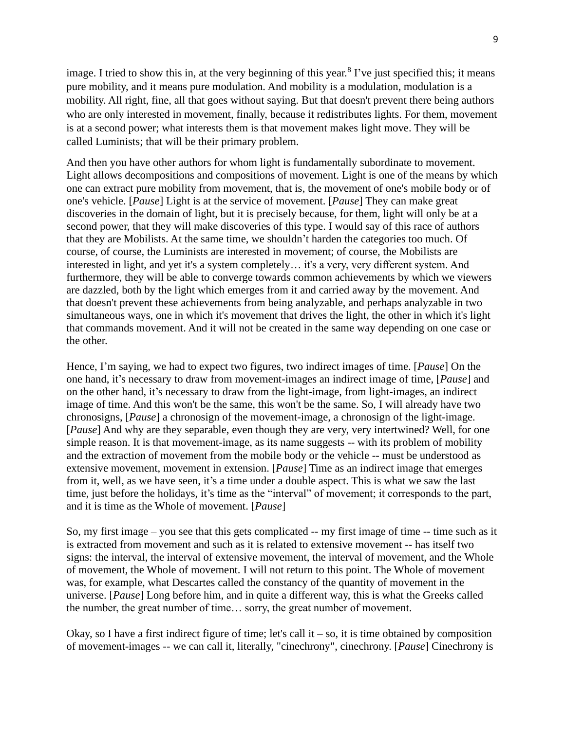image. I tried to show this in, at the very beginning of this year.<sup>8</sup> I've just specified this; it means pure mobility, and it means pure modulation. And mobility is a modulation, modulation is a mobility. All right, fine, all that goes without saying. But that doesn't prevent there being authors who are only interested in movement, finally, because it redistributes lights. For them, movement is at a second power; what interests them is that movement makes light move. They will be called Luminists; that will be their primary problem.

And then you have other authors for whom light is fundamentally subordinate to movement. Light allows decompositions and compositions of movement. Light is one of the means by which one can extract pure mobility from movement, that is, the movement of one's mobile body or of one's vehicle. [*Pause*] Light is at the service of movement. [*Pause*] They can make great discoveries in the domain of light, but it is precisely because, for them, light will only be at a second power, that they will make discoveries of this type. I would say of this race of authors that they are Mobilists. At the same time, we shouldn't harden the categories too much. Of course, of course, the Luminists are interested in movement; of course, the Mobilists are interested in light, and yet it's a system completely… it's a very, very different system. And furthermore, they will be able to converge towards common achievements by which we viewers are dazzled, both by the light which emerges from it and carried away by the movement. And that doesn't prevent these achievements from being analyzable, and perhaps analyzable in two simultaneous ways, one in which it's movement that drives the light, the other in which it's light that commands movement. And it will not be created in the same way depending on one case or the other.

Hence, I'm saying, we had to expect two figures, two indirect images of time. [*Pause*] On the one hand, it's necessary to draw from movement-images an indirect image of time, [*Pause*] and on the other hand, it's necessary to draw from the light-image, from light-images, an indirect image of time. And this won't be the same, this won't be the same. So, I will already have two chronosigns, [*Pause*] a chronosign of the movement-image, a chronosign of the light-image. [*Pause*] And why are they separable, even though they are very, very intertwined? Well, for one simple reason. It is that movement-image, as its name suggests -- with its problem of mobility and the extraction of movement from the mobile body or the vehicle -- must be understood as extensive movement, movement in extension. [*Pause*] Time as an indirect image that emerges from it, well, as we have seen, it's a time under a double aspect. This is what we saw the last time, just before the holidays, it's time as the "interval" of movement; it corresponds to the part, and it is time as the Whole of movement. [*Pause*]

So, my first image – you see that this gets complicated -- my first image of time -- time such as it is extracted from movement and such as it is related to extensive movement -- has itself two signs: the interval, the interval of extensive movement, the interval of movement, and the Whole of movement, the Whole of movement. I will not return to this point. The Whole of movement was, for example, what Descartes called the constancy of the quantity of movement in the universe. [*Pause*] Long before him, and in quite a different way, this is what the Greeks called the number, the great number of time… sorry, the great number of movement.

Okay, so I have a first indirect figure of time; let's call it – so, it is time obtained by composition of movement-images -- we can call it, literally, "cinechrony", cinechrony. [*Pause*] Cinechrony is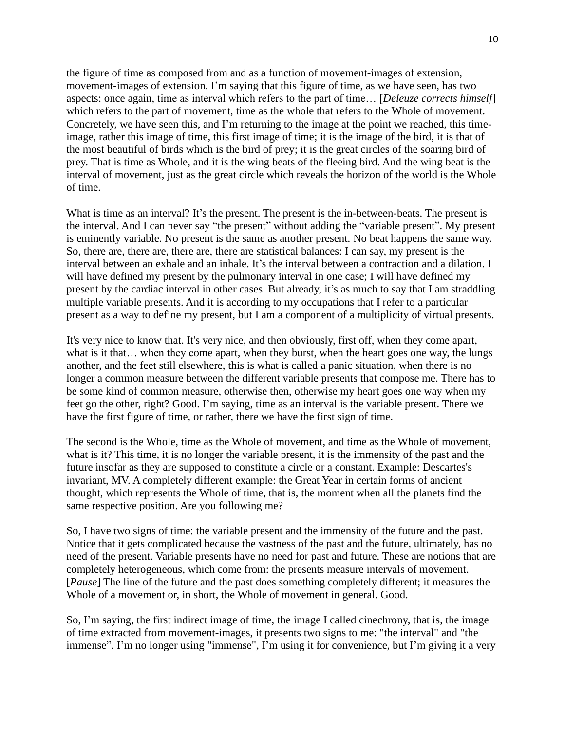the figure of time as composed from and as a function of movement-images of extension, movement-images of extension. I'm saying that this figure of time, as we have seen, has two aspects: once again, time as interval which refers to the part of time… [*Deleuze corrects himself*] which refers to the part of movement, time as the whole that refers to the Whole of movement. Concretely, we have seen this, and I'm returning to the image at the point we reached, this timeimage, rather this image of time, this first image of time; it is the image of the bird, it is that of the most beautiful of birds which is the bird of prey; it is the great circles of the soaring bird of prey. That is time as Whole, and it is the wing beats of the fleeing bird. And the wing beat is the interval of movement, just as the great circle which reveals the horizon of the world is the Whole of time.

What is time as an interval? It's the present. The present is the in-between-beats. The present is the interval. And I can never say "the present" without adding the "variable present". My present is eminently variable. No present is the same as another present. No beat happens the same way. So, there are, there are, there are, there are statistical balances: I can say, my present is the interval between an exhale and an inhale. It's the interval between a contraction and a dilation. I will have defined my present by the pulmonary interval in one case; I will have defined my present by the cardiac interval in other cases. But already, it's as much to say that I am straddling multiple variable presents. And it is according to my occupations that I refer to a particular present as a way to define my present, but I am a component of a multiplicity of virtual presents.

It's very nice to know that. It's very nice, and then obviously, first off, when they come apart, what is it that... when they come apart, when they burst, when the heart goes one way, the lungs another, and the feet still elsewhere, this is what is called a panic situation, when there is no longer a common measure between the different variable presents that compose me. There has to be some kind of common measure, otherwise then, otherwise my heart goes one way when my feet go the other, right? Good. I'm saying, time as an interval is the variable present. There we have the first figure of time, or rather, there we have the first sign of time.

The second is the Whole, time as the Whole of movement, and time as the Whole of movement, what is it? This time, it is no longer the variable present, it is the immensity of the past and the future insofar as they are supposed to constitute a circle or a constant. Example: Descartes's invariant, MV. A completely different example: the Great Year in certain forms of ancient thought, which represents the Whole of time, that is, the moment when all the planets find the same respective position. Are you following me?

So, I have two signs of time: the variable present and the immensity of the future and the past. Notice that it gets complicated because the vastness of the past and the future, ultimately, has no need of the present. Variable presents have no need for past and future. These are notions that are completely heterogeneous, which come from: the presents measure intervals of movement. [*Pause*] The line of the future and the past does something completely different; it measures the Whole of a movement or, in short, the Whole of movement in general. Good.

So, I'm saying, the first indirect image of time, the image I called cinechrony, that is, the image of time extracted from movement-images, it presents two signs to me: "the interval" and "the immense". I'm no longer using "immense", I'm using it for convenience, but I'm giving it a very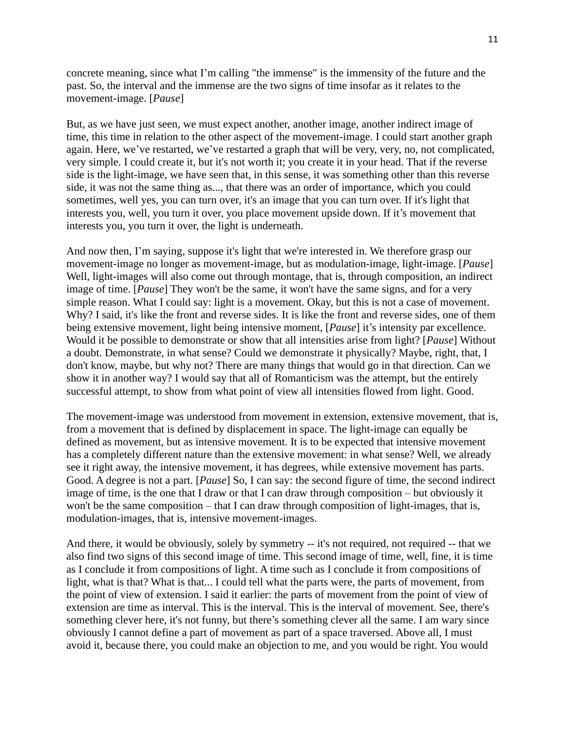concrete meaning, since what I'm calling "the immense" is the immensity of the future and the past. So, the interval and the immense are the two signs of time insofar as it relates to the movement-image. [*Pause*]

But, as we have just seen, we must expect another, another image, another indirect image of time, this time in relation to the other aspect of the movement-image. I could start another graph again. Here, we've restarted, we've restarted a graph that will be very, very, no, not complicated, very simple. I could create it, but it's not worth it; you create it in your head. That if the reverse side is the light-image, we have seen that, in this sense, it was something other than this reverse side, it was not the same thing as..., that there was an order of importance, which you could sometimes, well yes, you can turn over, it's an image that you can turn over. If it's light that interests you, well, you turn it over, you place movement upside down. If it's movement that interests you, you turn it over, the light is underneath.

And now then, I'm saying, suppose it's light that we're interested in. We therefore grasp our movement-image no longer as movement-image, but as modulation-image, light-image. [*Pause*] Well, light-images will also come out through montage, that is, through composition, an indirect image of time. [*Pause*] They won't be the same, it won't have the same signs, and for a very simple reason. What I could say: light is a movement. Okay, but this is not a case of movement. Why? I said, it's like the front and reverse sides. It is like the front and reverse sides, one of them being extensive movement, light being intensive moment, [*Pause*] it's intensity par excellence. Would it be possible to demonstrate or show that all intensities arise from light? [*Pause*] Without a doubt. Demonstrate, in what sense? Could we demonstrate it physically? Maybe, right, that, I don't know, maybe, but why not? There are many things that would go in that direction. Can we show it in another way? I would say that all of Romanticism was the attempt, but the entirely successful attempt, to show from what point of view all intensities flowed from light. Good.

The movement-image was understood from movement in extension, extensive movement, that is, from a movement that is defined by displacement in space. The light-image can equally be defined as movement, but as intensive movement. It is to be expected that intensive movement has a completely different nature than the extensive movement: in what sense? Well, we already see it right away, the intensive movement, it has degrees, while extensive movement has parts. Good. A degree is not a part. [*Pause*] So, I can say: the second figure of time, the second indirect image of time, is the one that I draw or that I can draw through composition – but obviously it won't be the same composition – that I can draw through composition of light-images, that is, modulation-images, that is, intensive movement-images.

And there, it would be obviously, solely by symmetry -- it's not required, not required -- that we also find two signs of this second image of time. This second image of time, well, fine, it is time as I conclude it from compositions of light. A time such as I conclude it from compositions of light, what is that? What is that... I could tell what the parts were, the parts of movement, from the point of view of extension. I said it earlier: the parts of movement from the point of view of extension are time as interval. This is the interval. This is the interval of movement. See, there's something clever here, it's not funny, but there's something clever all the same. I am wary since obviously I cannot define a part of movement as part of a space traversed. Above all, I must avoid it, because there, you could make an objection to me, and you would be right. You would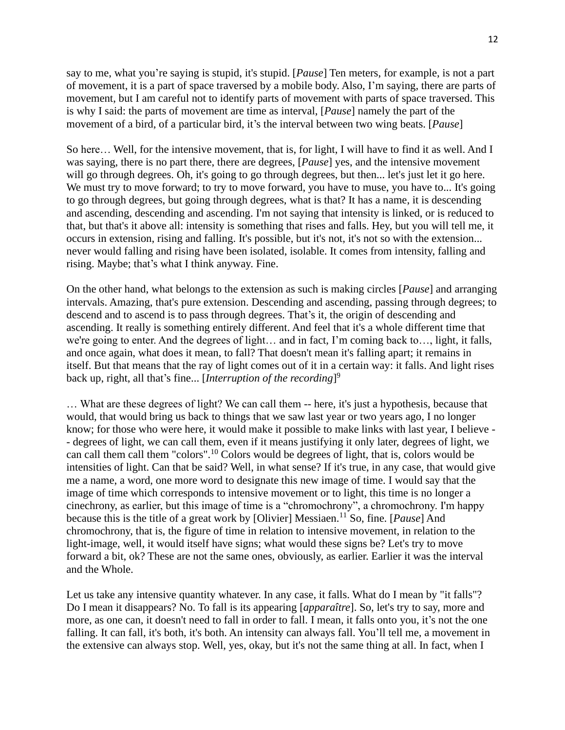say to me, what you're saying is stupid, it's stupid. [*Pause*] Ten meters, for example, is not a part of movement, it is a part of space traversed by a mobile body. Also, I'm saying, there are parts of movement, but I am careful not to identify parts of movement with parts of space traversed. This is why I said: the parts of movement are time as interval, [*Pause*] namely the part of the movement of a bird, of a particular bird, it's the interval between two wing beats. [*Pause*]

So here… Well, for the intensive movement, that is, for light, I will have to find it as well. And I was saying, there is no part there, there are degrees, [*Pause*] yes, and the intensive movement will go through degrees. Oh, it's going to go through degrees, but then... let's just let it go here. We must try to move forward; to try to move forward, you have to muse, you have to... It's going to go through degrees, but going through degrees, what is that? It has a name, it is descending and ascending, descending and ascending. I'm not saying that intensity is linked, or is reduced to that, but that's it above all: intensity is something that rises and falls. Hey, but you will tell me, it occurs in extension, rising and falling. It's possible, but it's not, it's not so with the extension... never would falling and rising have been isolated, isolable. It comes from intensity, falling and rising. Maybe; that's what I think anyway. Fine.

On the other hand, what belongs to the extension as such is making circles [*Pause*] and arranging intervals. Amazing, that's pure extension. Descending and ascending, passing through degrees; to descend and to ascend is to pass through degrees. That's it, the origin of descending and ascending. It really is something entirely different. And feel that it's a whole different time that we're going to enter. And the degrees of light… and in fact, I'm coming back to…, light, it falls, and once again, what does it mean, to fall? That doesn't mean it's falling apart; it remains in itself. But that means that the ray of light comes out of it in a certain way: it falls. And light rises back up, right, all that's fine... [*Interruption of the recording*] 9

… What are these degrees of light? We can call them -- here, it's just a hypothesis, because that would, that would bring us back to things that we saw last year or two years ago, I no longer know; for those who were here, it would make it possible to make links with last year, I believe - - degrees of light, we can call them, even if it means justifying it only later, degrees of light, we can call them call them "colors".<sup>10</sup> Colors would be degrees of light, that is, colors would be intensities of light. Can that be said? Well, in what sense? If it's true, in any case, that would give me a name, a word, one more word to designate this new image of time. I would say that the image of time which corresponds to intensive movement or to light, this time is no longer a cinechrony, as earlier, but this image of time is a "chromochrony", a chromochrony. I'm happy because this is the title of a great work by [Olivier] Messiaen.<sup>11</sup> So, fine. [*Pause*] And chromochrony, that is, the figure of time in relation to intensive movement, in relation to the light-image, well, it would itself have signs; what would these signs be? Let's try to move forward a bit, ok? These are not the same ones, obviously, as earlier. Earlier it was the interval and the Whole.

Let us take any intensive quantity whatever. In any case, it falls. What do I mean by "it falls"? Do I mean it disappears? No. To fall is its appearing [*apparaître*]. So, let's try to say, more and more, as one can, it doesn't need to fall in order to fall. I mean, it falls onto you, it's not the one falling. It can fall, it's both, it's both. An intensity can always fall. You'll tell me, a movement in the extensive can always stop. Well, yes, okay, but it's not the same thing at all. In fact, when I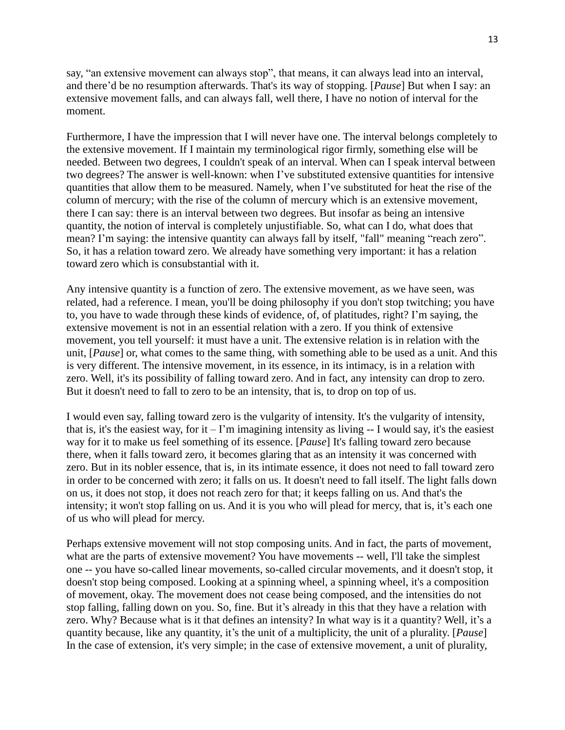say, "an extensive movement can always stop", that means, it can always lead into an interval, and there'd be no resumption afterwards. That's its way of stopping. [*Pause*] But when I say: an extensive movement falls, and can always fall, well there, I have no notion of interval for the moment.

Furthermore, I have the impression that I will never have one. The interval belongs completely to the extensive movement. If I maintain my terminological rigor firmly, something else will be needed. Between two degrees, I couldn't speak of an interval. When can I speak interval between two degrees? The answer is well-known: when I've substituted extensive quantities for intensive quantities that allow them to be measured. Namely, when I've substituted for heat the rise of the column of mercury; with the rise of the column of mercury which is an extensive movement, there I can say: there is an interval between two degrees. But insofar as being an intensive quantity, the notion of interval is completely unjustifiable. So, what can I do, what does that mean? I'm saying: the intensive quantity can always fall by itself, "fall" meaning "reach zero". So, it has a relation toward zero. We already have something very important: it has a relation toward zero which is consubstantial with it.

Any intensive quantity is a function of zero. The extensive movement, as we have seen, was related, had a reference. I mean, you'll be doing philosophy if you don't stop twitching; you have to, you have to wade through these kinds of evidence, of, of platitudes, right? I'm saying, the extensive movement is not in an essential relation with a zero. If you think of extensive movement, you tell yourself: it must have a unit. The extensive relation is in relation with the unit, [*Pause*] or, what comes to the same thing, with something able to be used as a unit. And this is very different. The intensive movement, in its essence, in its intimacy, is in a relation with zero. Well, it's its possibility of falling toward zero. And in fact, any intensity can drop to zero. But it doesn't need to fall to zero to be an intensity, that is, to drop on top of us.

I would even say, falling toward zero is the vulgarity of intensity. It's the vulgarity of intensity, that is, it's the easiest way, for it  $-1$ 'm imagining intensity as living  $-1$  would say, it's the easiest way for it to make us feel something of its essence. [*Pause*] It's falling toward zero because there, when it falls toward zero, it becomes glaring that as an intensity it was concerned with zero. But in its nobler essence, that is, in its intimate essence, it does not need to fall toward zero in order to be concerned with zero; it falls on us. It doesn't need to fall itself. The light falls down on us, it does not stop, it does not reach zero for that; it keeps falling on us. And that's the intensity; it won't stop falling on us. And it is you who will plead for mercy, that is, it's each one of us who will plead for mercy.

Perhaps extensive movement will not stop composing units. And in fact, the parts of movement, what are the parts of extensive movement? You have movements -- well, I'll take the simplest one -- you have so-called linear movements, so-called circular movements, and it doesn't stop, it doesn't stop being composed. Looking at a spinning wheel, a spinning wheel, it's a composition of movement, okay. The movement does not cease being composed, and the intensities do not stop falling, falling down on you. So, fine. But it's already in this that they have a relation with zero. Why? Because what is it that defines an intensity? In what way is it a quantity? Well, it's a quantity because, like any quantity, it's the unit of a multiplicity, the unit of a plurality. [*Pause*] In the case of extension, it's very simple; in the case of extensive movement, a unit of plurality,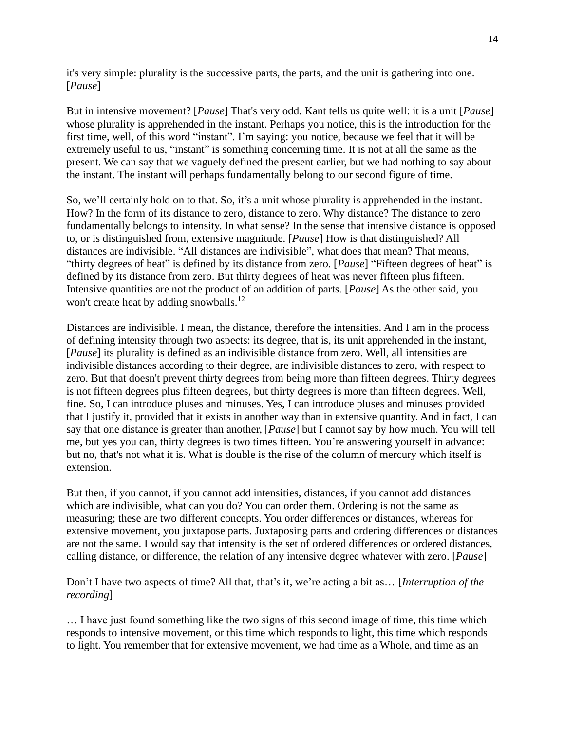it's very simple: plurality is the successive parts, the parts, and the unit is gathering into one. [*Pause*]

But in intensive movement? [*Pause*] That's very odd. Kant tells us quite well: it is a unit [*Pause*] whose plurality is apprehended in the instant. Perhaps you notice, this is the introduction for the first time, well, of this word "instant". I'm saying: you notice, because we feel that it will be extremely useful to us, "instant" is something concerning time. It is not at all the same as the present. We can say that we vaguely defined the present earlier, but we had nothing to say about the instant. The instant will perhaps fundamentally belong to our second figure of time.

So, we'll certainly hold on to that. So, it's a unit whose plurality is apprehended in the instant. How? In the form of its distance to zero, distance to zero. Why distance? The distance to zero fundamentally belongs to intensity. In what sense? In the sense that intensive distance is opposed to, or is distinguished from, extensive magnitude. [*Pause*] How is that distinguished? All distances are indivisible. "All distances are indivisible", what does that mean? That means, "thirty degrees of heat" is defined by its distance from zero. [*Pause*] "Fifteen degrees of heat" is defined by its distance from zero. But thirty degrees of heat was never fifteen plus fifteen. Intensive quantities are not the product of an addition of parts. [*Pause*] As the other said, you won't create heat by adding snowballs.<sup>12</sup>

Distances are indivisible. I mean, the distance, therefore the intensities. And I am in the process of defining intensity through two aspects: its degree, that is, its unit apprehended in the instant, [*Pause*] its plurality is defined as an indivisible distance from zero. Well, all intensities are indivisible distances according to their degree, are indivisible distances to zero, with respect to zero. But that doesn't prevent thirty degrees from being more than fifteen degrees. Thirty degrees is not fifteen degrees plus fifteen degrees, but thirty degrees is more than fifteen degrees. Well, fine. So, I can introduce pluses and minuses. Yes, I can introduce pluses and minuses provided that I justify it, provided that it exists in another way than in extensive quantity. And in fact, I can say that one distance is greater than another, [*Pause*] but I cannot say by how much. You will tell me, but yes you can, thirty degrees is two times fifteen. You're answering yourself in advance: but no, that's not what it is. What is double is the rise of the column of mercury which itself is extension.

But then, if you cannot, if you cannot add intensities, distances, if you cannot add distances which are indivisible, what can you do? You can order them. Ordering is not the same as measuring; these are two different concepts. You order differences or distances, whereas for extensive movement, you juxtapose parts. Juxtaposing parts and ordering differences or distances are not the same. I would say that intensity is the set of ordered differences or ordered distances, calling distance, or difference, the relation of any intensive degree whatever with zero. [*Pause*]

Don't I have two aspects of time? All that, that's it, we're acting a bit as… [*Interruption of the recording*]

… I have just found something like the two signs of this second image of time, this time which responds to intensive movement, or this time which responds to light, this time which responds to light. You remember that for extensive movement, we had time as a Whole, and time as an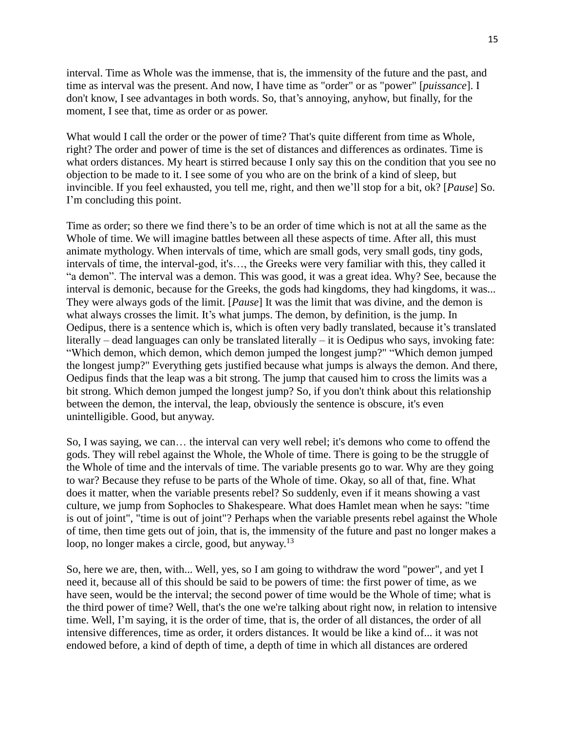interval. Time as Whole was the immense, that is, the immensity of the future and the past, and time as interval was the present. And now, I have time as "order" or as "power" [*puissance*]. I don't know, I see advantages in both words. So, that's annoying, anyhow, but finally, for the moment, I see that, time as order or as power.

What would I call the order or the power of time? That's quite different from time as Whole, right? The order and power of time is the set of distances and differences as ordinates. Time is what orders distances. My heart is stirred because I only say this on the condition that you see no objection to be made to it. I see some of you who are on the brink of a kind of sleep, but invincible. If you feel exhausted, you tell me, right, and then we'll stop for a bit, ok? [*Pause*] So. I'm concluding this point.

Time as order; so there we find there's to be an order of time which is not at all the same as the Whole of time. We will imagine battles between all these aspects of time. After all, this must animate mythology. When intervals of time, which are small gods, very small gods, tiny gods, intervals of time, the interval-god, it's…, the Greeks were very familiar with this, they called it "a demon". The interval was a demon. This was good, it was a great idea. Why? See, because the interval is demonic, because for the Greeks, the gods had kingdoms, they had kingdoms, it was... They were always gods of the limit. [*Pause*] It was the limit that was divine, and the demon is what always crosses the limit. It's what jumps. The demon, by definition, is the jump. In Oedipus, there is a sentence which is, which is often very badly translated, because it's translated literally – dead languages can only be translated literally – it is Oedipus who says, invoking fate: "Which demon, which demon, which demon jumped the longest jump?" "Which demon jumped the longest jump?" Everything gets justified because what jumps is always the demon. And there, Oedipus finds that the leap was a bit strong. The jump that caused him to cross the limits was a bit strong. Which demon jumped the longest jump? So, if you don't think about this relationship between the demon, the interval, the leap, obviously the sentence is obscure, it's even unintelligible. Good, but anyway.

So, I was saying, we can… the interval can very well rebel; it's demons who come to offend the gods. They will rebel against the Whole, the Whole of time. There is going to be the struggle of the Whole of time and the intervals of time. The variable presents go to war. Why are they going to war? Because they refuse to be parts of the Whole of time. Okay, so all of that, fine. What does it matter, when the variable presents rebel? So suddenly, even if it means showing a vast culture, we jump from Sophocles to Shakespeare. What does Hamlet mean when he says: "time is out of joint", "time is out of joint"? Perhaps when the variable presents rebel against the Whole of time, then time gets out of join, that is, the immensity of the future and past no longer makes a loop, no longer makes a circle, good, but anyway.<sup>13</sup>

So, here we are, then, with... Well, yes, so I am going to withdraw the word "power", and yet I need it, because all of this should be said to be powers of time: the first power of time, as we have seen, would be the interval; the second power of time would be the Whole of time; what is the third power of time? Well, that's the one we're talking about right now, in relation to intensive time. Well, I'm saying, it is the order of time, that is, the order of all distances, the order of all intensive differences, time as order, it orders distances. It would be like a kind of... it was not endowed before, a kind of depth of time, a depth of time in which all distances are ordered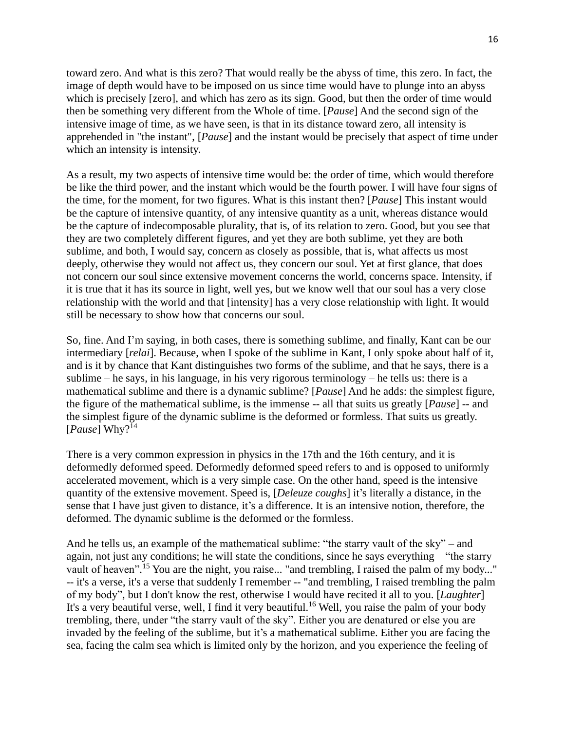toward zero. And what is this zero? That would really be the abyss of time, this zero. In fact, the image of depth would have to be imposed on us since time would have to plunge into an abyss which is precisely [zero], and which has zero as its sign. Good, but then the order of time would then be something very different from the Whole of time. [*Pause*] And the second sign of the intensive image of time, as we have seen, is that in its distance toward zero, all intensity is apprehended in "the instant", [*Pause*] and the instant would be precisely that aspect of time under which an intensity is intensity.

As a result, my two aspects of intensive time would be: the order of time, which would therefore be like the third power, and the instant which would be the fourth power. I will have four signs of the time, for the moment, for two figures. What is this instant then? [*Pause*] This instant would be the capture of intensive quantity, of any intensive quantity as a unit, whereas distance would be the capture of indecomposable plurality, that is, of its relation to zero. Good, but you see that they are two completely different figures, and yet they are both sublime, yet they are both sublime, and both, I would say, concern as closely as possible, that is, what affects us most deeply, otherwise they would not affect us, they concern our soul. Yet at first glance, that does not concern our soul since extensive movement concerns the world, concerns space. Intensity, if it is true that it has its source in light, well yes, but we know well that our soul has a very close relationship with the world and that [intensity] has a very close relationship with light. It would still be necessary to show how that concerns our soul.

So, fine. And I'm saying, in both cases, there is something sublime, and finally, Kant can be our intermediary [*relai*]. Because, when I spoke of the sublime in Kant, I only spoke about half of it, and is it by chance that Kant distinguishes two forms of the sublime, and that he says, there is a sublime – he says, in his language, in his very rigorous terminology – he tells us: there is a mathematical sublime and there is a dynamic sublime? [*Pause*] And he adds: the simplest figure, the figure of the mathematical sublime, is the immense -- all that suits us greatly [*Pause*] -- and the simplest figure of the dynamic sublime is the deformed or formless. That suits us greatly.  $[Pause] Why?$ <sup>14</sup>

There is a very common expression in physics in the 17th and the 16th century, and it is deformedly deformed speed. Deformedly deformed speed refers to and is opposed to uniformly accelerated movement, which is a very simple case. On the other hand, speed is the intensive quantity of the extensive movement. Speed is, [*Deleuze coughs*] it's literally a distance, in the sense that I have just given to distance, it's a difference. It is an intensive notion, therefore, the deformed. The dynamic sublime is the deformed or the formless.

And he tells us, an example of the mathematical sublime: "the starry vault of the sky" – and again, not just any conditions; he will state the conditions, since he says everything – "the starry vault of heaven".<sup>15</sup> You are the night, you raise... "and trembling, I raised the palm of my body..." -- it's a verse, it's a verse that suddenly I remember -- "and trembling, I raised trembling the palm of my body", but I don't know the rest, otherwise I would have recited it all to you. [*Laughter*] It's a very beautiful verse, well, I find it very beautiful.<sup>16</sup> Well, you raise the palm of your body trembling, there, under "the starry vault of the sky". Either you are denatured or else you are invaded by the feeling of the sublime, but it's a mathematical sublime. Either you are facing the sea, facing the calm sea which is limited only by the horizon, and you experience the feeling of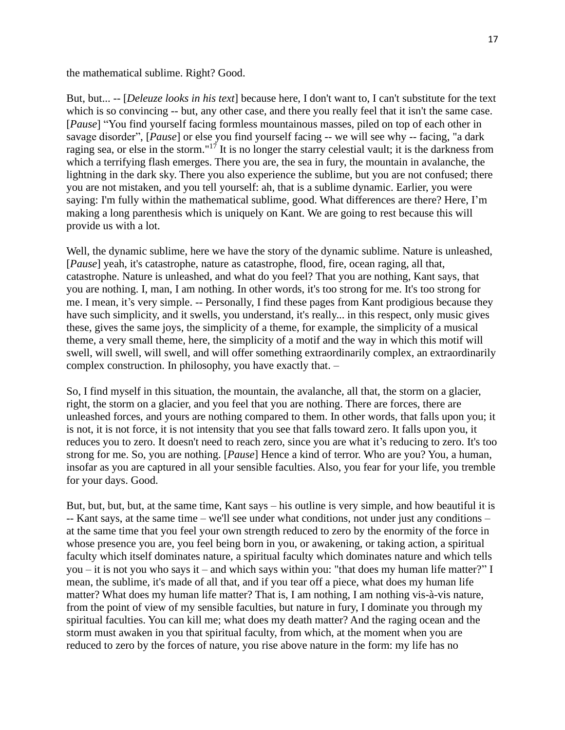the mathematical sublime. Right? Good.

But, but... -- [*Deleuze looks in his text*] because here, I don't want to, I can't substitute for the text which is so convincing -- but, any other case, and there you really feel that it isn't the same case. [*Pause*] "You find yourself facing formless mountainous masses, piled on top of each other in savage disorder", [*Pause*] or else you find yourself facing -- we will see why -- facing, "a dark raging sea, or else in the storm."<sup>17</sup> It is no longer the starry celestial vault; it is the darkness from which a terrifying flash emerges. There you are, the sea in fury, the mountain in avalanche, the lightning in the dark sky. There you also experience the sublime, but you are not confused; there you are not mistaken, and you tell yourself: ah, that is a sublime dynamic. Earlier, you were saying: I'm fully within the mathematical sublime, good. What differences are there? Here, I'm making a long parenthesis which is uniquely on Kant. We are going to rest because this will provide us with a lot.

Well, the dynamic sublime, here we have the story of the dynamic sublime. Nature is unleashed, [*Pause*] yeah, it's catastrophe, nature as catastrophe, flood, fire, ocean raging, all that, catastrophe. Nature is unleashed, and what do you feel? That you are nothing, Kant says, that you are nothing. I, man, I am nothing. In other words, it's too strong for me. It's too strong for me. I mean, it's very simple. -- Personally, I find these pages from Kant prodigious because they have such simplicity, and it swells, you understand, it's really... in this respect, only music gives these, gives the same joys, the simplicity of a theme, for example, the simplicity of a musical theme, a very small theme, here, the simplicity of a motif and the way in which this motif will swell, will swell, will swell, and will offer something extraordinarily complex, an extraordinarily complex construction. In philosophy, you have exactly that. –

So, I find myself in this situation, the mountain, the avalanche, all that, the storm on a glacier, right, the storm on a glacier, and you feel that you are nothing. There are forces, there are unleashed forces, and yours are nothing compared to them. In other words, that falls upon you; it is not, it is not force, it is not intensity that you see that falls toward zero. It falls upon you, it reduces you to zero. It doesn't need to reach zero, since you are what it's reducing to zero. It's too strong for me. So, you are nothing. [*Pause*] Hence a kind of terror. Who are you? You, a human, insofar as you are captured in all your sensible faculties. Also, you fear for your life, you tremble for your days. Good.

But, but, but, but, at the same time, Kant says – his outline is very simple, and how beautiful it is -- Kant says, at the same time – we'll see under what conditions, not under just any conditions – at the same time that you feel your own strength reduced to zero by the enormity of the force in whose presence you are, you feel being born in you, or awakening, or taking action, a spiritual faculty which itself dominates nature, a spiritual faculty which dominates nature and which tells you – it is not you who says it – and which says within you: "that does my human life matter?" I mean, the sublime, it's made of all that, and if you tear off a piece, what does my human life matter? What does my human life matter? That is, I am nothing, I am nothing vis-à-vis nature, from the point of view of my sensible faculties, but nature in fury, I dominate you through my spiritual faculties. You can kill me; what does my death matter? And the raging ocean and the storm must awaken in you that spiritual faculty, from which, at the moment when you are reduced to zero by the forces of nature, you rise above nature in the form: my life has no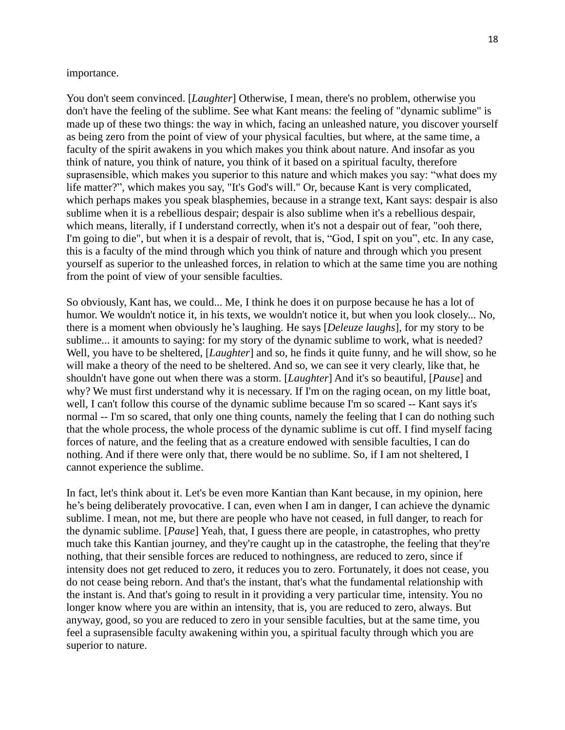## importance.

You don't seem convinced. [*Laughter*] Otherwise, I mean, there's no problem, otherwise you don't have the feeling of the sublime. See what Kant means: the feeling of "dynamic sublime" is made up of these two things: the way in which, facing an unleashed nature, you discover yourself as being zero from the point of view of your physical faculties, but where, at the same time, a faculty of the spirit awakens in you which makes you think about nature. And insofar as you think of nature, you think of nature, you think of it based on a spiritual faculty, therefore suprasensible, which makes you superior to this nature and which makes you say: "what does my life matter?", which makes you say, "It's God's will." Or, because Kant is very complicated, which perhaps makes you speak blasphemies, because in a strange text, Kant says: despair is also sublime when it is a rebellious despair; despair is also sublime when it's a rebellious despair, which means, literally, if I understand correctly, when it's not a despair out of fear, "ooh there, I'm going to die", but when it is a despair of revolt, that is, "God, I spit on you", etc. In any case, this is a faculty of the mind through which you think of nature and through which you present yourself as superior to the unleashed forces, in relation to which at the same time you are nothing from the point of view of your sensible faculties.

So obviously, Kant has, we could... Me, I think he does it on purpose because he has a lot of humor. We wouldn't notice it, in his texts, we wouldn't notice it, but when you look closely... No, there is a moment when obviously he's laughing. He says [*Deleuze laughs*], for my story to be sublime... it amounts to saying: for my story of the dynamic sublime to work, what is needed? Well, you have to be sheltered, [*Laughter*] and so, he finds it quite funny, and he will show, so he will make a theory of the need to be sheltered. And so, we can see it very clearly, like that, he shouldn't have gone out when there was a storm. [*Laughter*] And it's so beautiful, [*Pause*] and why? We must first understand why it is necessary. If I'm on the raging ocean, on my little boat, well, I can't follow this course of the dynamic sublime because I'm so scared -- Kant says it's normal -- I'm so scared, that only one thing counts, namely the feeling that I can do nothing such that the whole process, the whole process of the dynamic sublime is cut off. I find myself facing forces of nature, and the feeling that as a creature endowed with sensible faculties, I can do nothing. And if there were only that, there would be no sublime. So, if I am not sheltered, I cannot experience the sublime.

In fact, let's think about it. Let's be even more Kantian than Kant because, in my opinion, here he's being deliberately provocative. I can, even when I am in danger, I can achieve the dynamic sublime. I mean, not me, but there are people who have not ceased, in full danger, to reach for the dynamic sublime. [*Pause*] Yeah, that, I guess there are people, in catastrophes, who pretty much take this Kantian journey, and they're caught up in the catastrophe, the feeling that they're nothing, that their sensible forces are reduced to nothingness, are reduced to zero, since if intensity does not get reduced to zero, it reduces you to zero. Fortunately, it does not cease, you do not cease being reborn. And that's the instant, that's what the fundamental relationship with the instant is. And that's going to result in it providing a very particular time, intensity. You no longer know where you are within an intensity, that is, you are reduced to zero, always. But anyway, good, so you are reduced to zero in your sensible faculties, but at the same time, you feel a suprasensible faculty awakening within you, a spiritual faculty through which you are superior to nature.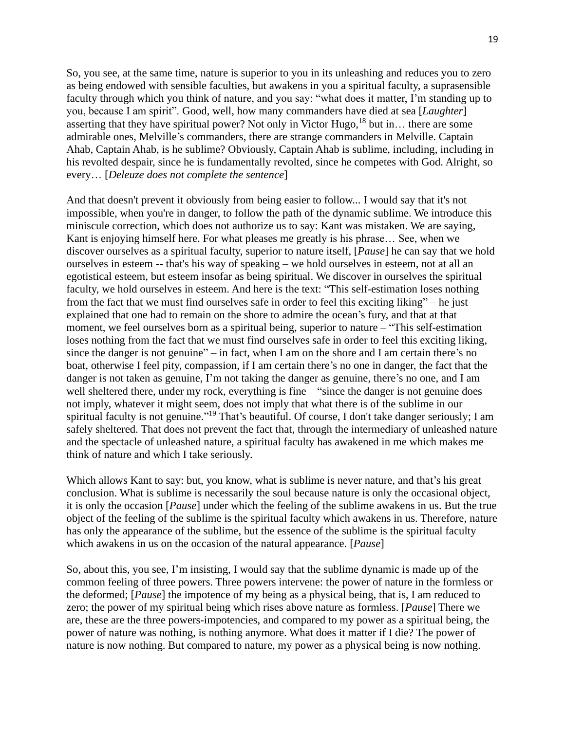So, you see, at the same time, nature is superior to you in its unleashing and reduces you to zero as being endowed with sensible faculties, but awakens in you a spiritual faculty, a suprasensible faculty through which you think of nature, and you say: "what does it matter, I'm standing up to you, because I am spirit". Good, well, how many commanders have died at sea [*Laughter*] asserting that they have spiritual power? Not only in Victor Hugo,  $18$  but in... there are some admirable ones, Melville's commanders, there are strange commanders in Melville. Captain Ahab, Captain Ahab, is he sublime? Obviously, Captain Ahab is sublime, including, including in his revolted despair, since he is fundamentally revolted, since he competes with God. Alright, so every… [*Deleuze does not complete the sentence*]

And that doesn't prevent it obviously from being easier to follow... I would say that it's not impossible, when you're in danger, to follow the path of the dynamic sublime. We introduce this miniscule correction, which does not authorize us to say: Kant was mistaken. We are saying, Kant is enjoying himself here. For what pleases me greatly is his phrase… See, when we discover ourselves as a spiritual faculty, superior to nature itself, [*Pause*] he can say that we hold ourselves in esteem -- that's his way of speaking – we hold ourselves in esteem, not at all an egotistical esteem, but esteem insofar as being spiritual. We discover in ourselves the spiritual faculty, we hold ourselves in esteem. And here is the text: "This self-estimation loses nothing from the fact that we must find ourselves safe in order to feel this exciting liking" – he just explained that one had to remain on the shore to admire the ocean's fury, and that at that moment, we feel ourselves born as a spiritual being, superior to nature – "This self-estimation loses nothing from the fact that we must find ourselves safe in order to feel this exciting liking, since the danger is not genuine" – in fact, when I am on the shore and I am certain there's no boat, otherwise I feel pity, compassion, if I am certain there's no one in danger, the fact that the danger is not taken as genuine, I'm not taking the danger as genuine, there's no one, and I am well sheltered there, under my rock, everything is fine – "since the danger is not genuine does not imply, whatever it might seem, does not imply that what there is of the sublime in our spiritual faculty is not genuine."<sup>19</sup> That's beautiful. Of course, I don't take danger seriously; I am safely sheltered. That does not prevent the fact that, through the intermediary of unleashed nature and the spectacle of unleashed nature, a spiritual faculty has awakened in me which makes me think of nature and which I take seriously.

Which allows Kant to say: but, you know, what is sublime is never nature, and that's his great conclusion. What is sublime is necessarily the soul because nature is only the occasional object, it is only the occasion [*Pause*] under which the feeling of the sublime awakens in us. But the true object of the feeling of the sublime is the spiritual faculty which awakens in us. Therefore, nature has only the appearance of the sublime, but the essence of the sublime is the spiritual faculty which awakens in us on the occasion of the natural appearance. [*Pause*]

So, about this, you see, I'm insisting, I would say that the sublime dynamic is made up of the common feeling of three powers. Three powers intervene: the power of nature in the formless or the deformed; [*Pause*] the impotence of my being as a physical being, that is, I am reduced to zero; the power of my spiritual being which rises above nature as formless. [*Pause*] There we are, these are the three powers-impotencies, and compared to my power as a spiritual being, the power of nature was nothing, is nothing anymore. What does it matter if I die? The power of nature is now nothing. But compared to nature, my power as a physical being is now nothing.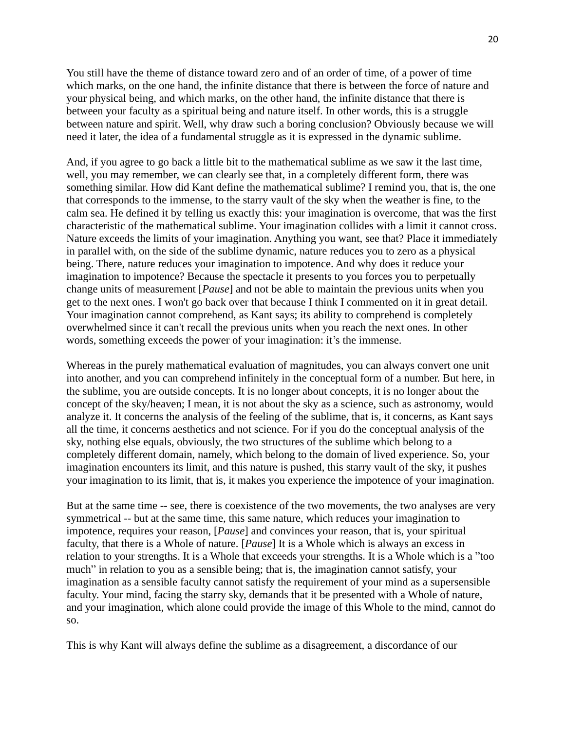You still have the theme of distance toward zero and of an order of time, of a power of time which marks, on the one hand, the infinite distance that there is between the force of nature and your physical being, and which marks, on the other hand, the infinite distance that there is between your faculty as a spiritual being and nature itself. In other words, this is a struggle between nature and spirit. Well, why draw such a boring conclusion? Obviously because we will need it later, the idea of a fundamental struggle as it is expressed in the dynamic sublime.

And, if you agree to go back a little bit to the mathematical sublime as we saw it the last time, well, you may remember, we can clearly see that, in a completely different form, there was something similar. How did Kant define the mathematical sublime? I remind you, that is, the one that corresponds to the immense, to the starry vault of the sky when the weather is fine, to the calm sea. He defined it by telling us exactly this: your imagination is overcome, that was the first characteristic of the mathematical sublime. Your imagination collides with a limit it cannot cross. Nature exceeds the limits of your imagination. Anything you want, see that? Place it immediately in parallel with, on the side of the sublime dynamic, nature reduces you to zero as a physical being. There, nature reduces your imagination to impotence. And why does it reduce your imagination to impotence? Because the spectacle it presents to you forces you to perpetually change units of measurement [*Pause*] and not be able to maintain the previous units when you get to the next ones. I won't go back over that because I think I commented on it in great detail. Your imagination cannot comprehend, as Kant says; its ability to comprehend is completely overwhelmed since it can't recall the previous units when you reach the next ones. In other words, something exceeds the power of your imagination: it's the immense.

Whereas in the purely mathematical evaluation of magnitudes, you can always convert one unit into another, and you can comprehend infinitely in the conceptual form of a number. But here, in the sublime, you are outside concepts. It is no longer about concepts, it is no longer about the concept of the sky/heaven; I mean, it is not about the sky as a science, such as astronomy, would analyze it. It concerns the analysis of the feeling of the sublime, that is, it concerns, as Kant says all the time, it concerns aesthetics and not science. For if you do the conceptual analysis of the sky, nothing else equals, obviously, the two structures of the sublime which belong to a completely different domain, namely, which belong to the domain of lived experience. So, your imagination encounters its limit, and this nature is pushed, this starry vault of the sky, it pushes your imagination to its limit, that is, it makes you experience the impotence of your imagination.

But at the same time -- see, there is coexistence of the two movements, the two analyses are very symmetrical -- but at the same time, this same nature, which reduces your imagination to impotence, requires your reason, [*Pause*] and convinces your reason, that is, your spiritual faculty, that there is a Whole of nature. [*Pause*] It is a Whole which is always an excess in relation to your strengths. It is a Whole that exceeds your strengths. It is a Whole which is a "too much" in relation to you as a sensible being; that is, the imagination cannot satisfy, your imagination as a sensible faculty cannot satisfy the requirement of your mind as a supersensible faculty. Your mind, facing the starry sky, demands that it be presented with a Whole of nature, and your imagination, which alone could provide the image of this Whole to the mind, cannot do so.

This is why Kant will always define the sublime as a disagreement, a discordance of our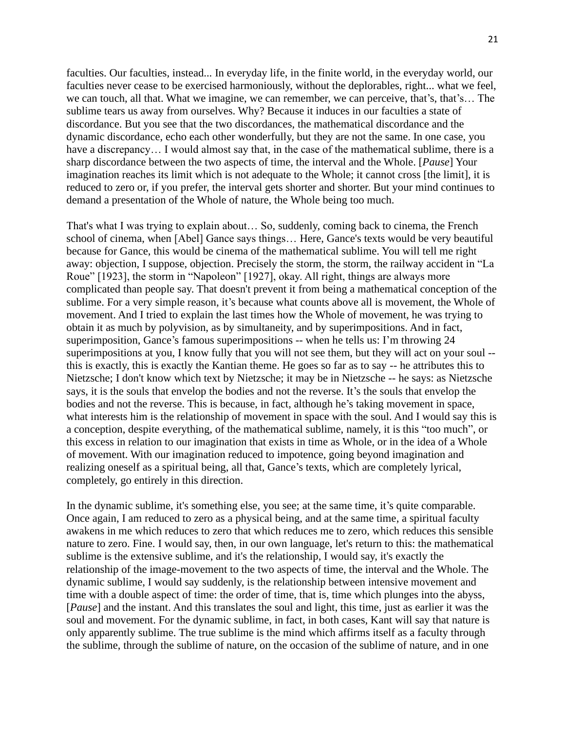faculties. Our faculties, instead... In everyday life, in the finite world, in the everyday world, our faculties never cease to be exercised harmoniously, without the deplorables, right... what we feel, we can touch, all that. What we imagine, we can remember, we can perceive, that's, that's… The sublime tears us away from ourselves. Why? Because it induces in our faculties a state of discordance. But you see that the two discordances, the mathematical discordance and the dynamic discordance, echo each other wonderfully, but they are not the same. In one case, you have a discrepancy... I would almost say that, in the case of the mathematical sublime, there is a sharp discordance between the two aspects of time, the interval and the Whole. [*Pause*] Your imagination reaches its limit which is not adequate to the Whole; it cannot cross [the limit], it is reduced to zero or, if you prefer, the interval gets shorter and shorter. But your mind continues to demand a presentation of the Whole of nature, the Whole being too much.

That's what I was trying to explain about… So, suddenly, coming back to cinema, the French school of cinema, when [Abel] Gance says things… Here, Gance's texts would be very beautiful because for Gance, this would be cinema of the mathematical sublime. You will tell me right away: objection, I suppose, objection. Precisely the storm, the storm, the railway accident in "La Roue" [1923], the storm in "Napoleon" [1927], okay. All right, things are always more complicated than people say. That doesn't prevent it from being a mathematical conception of the sublime. For a very simple reason, it's because what counts above all is movement, the Whole of movement. And I tried to explain the last times how the Whole of movement, he was trying to obtain it as much by polyvision, as by simultaneity, and by superimpositions. And in fact, superimposition, Gance's famous superimpositions -- when he tells us: I'm throwing 24 superimpositions at you, I know fully that you will not see them, but they will act on your soul - this is exactly, this is exactly the Kantian theme. He goes so far as to say -- he attributes this to Nietzsche; I don't know which text by Nietzsche; it may be in Nietzsche -- he says: as Nietzsche says, it is the souls that envelop the bodies and not the reverse. It's the souls that envelop the bodies and not the reverse. This is because, in fact, although he's taking movement in space, what interests him is the relationship of movement in space with the soul. And I would say this is a conception, despite everything, of the mathematical sublime, namely, it is this "too much", or this excess in relation to our imagination that exists in time as Whole, or in the idea of a Whole of movement. With our imagination reduced to impotence, going beyond imagination and realizing oneself as a spiritual being, all that, Gance's texts, which are completely lyrical, completely, go entirely in this direction.

In the dynamic sublime, it's something else, you see; at the same time, it's quite comparable. Once again, I am reduced to zero as a physical being, and at the same time, a spiritual faculty awakens in me which reduces to zero that which reduces me to zero, which reduces this sensible nature to zero. Fine. I would say, then, in our own language, let's return to this: the mathematical sublime is the extensive sublime, and it's the relationship, I would say, it's exactly the relationship of the image-movement to the two aspects of time, the interval and the Whole. The dynamic sublime, I would say suddenly, is the relationship between intensive movement and time with a double aspect of time: the order of time, that is, time which plunges into the abyss, [*Pause*] and the instant. And this translates the soul and light, this time, just as earlier it was the soul and movement. For the dynamic sublime, in fact, in both cases, Kant will say that nature is only apparently sublime. The true sublime is the mind which affirms itself as a faculty through the sublime, through the sublime of nature, on the occasion of the sublime of nature, and in one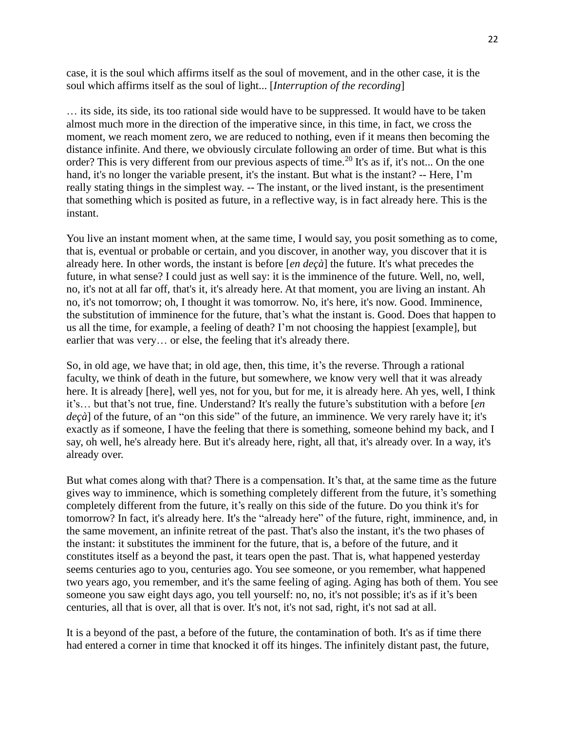case, it is the soul which affirms itself as the soul of movement, and in the other case, it is the soul which affirms itself as the soul of light... [*Interruption of the recording*]

… its side, its side, its too rational side would have to be suppressed. It would have to be taken almost much more in the direction of the imperative since, in this time, in fact, we cross the moment, we reach moment zero, we are reduced to nothing, even if it means then becoming the distance infinite. And there, we obviously circulate following an order of time. But what is this order? This is very different from our previous aspects of time.<sup>20</sup> It's as if, it's not... On the one hand, it's no longer the variable present, it's the instant. But what is the instant? -- Here, I'm really stating things in the simplest way. -- The instant, or the lived instant, is the presentiment that something which is posited as future, in a reflective way, is in fact already here. This is the instant.

You live an instant moment when, at the same time, I would say, you posit something as to come, that is, eventual or probable or certain, and you discover, in another way, you discover that it is already here. In other words, the instant is before [*en deçà*] the future. It's what precedes the future, in what sense? I could just as well say: it is the imminence of the future. Well, no, well, no, it's not at all far off, that's it, it's already here. At that moment, you are living an instant. Ah no, it's not tomorrow; oh, I thought it was tomorrow. No, it's here, it's now. Good. Imminence, the substitution of imminence for the future, that's what the instant is. Good. Does that happen to us all the time, for example, a feeling of death? I'm not choosing the happiest [example], but earlier that was very… or else, the feeling that it's already there.

So, in old age, we have that; in old age, then, this time, it's the reverse. Through a rational faculty, we think of death in the future, but somewhere, we know very well that it was already here. It is already [here], well yes, not for you, but for me, it is already here. Ah yes, well, I think it's… but that's not true, fine. Understand? It's really the future's substitution with a before [*en deçà*] of the future, of an "on this side" of the future, an imminence. We very rarely have it; it's exactly as if someone, I have the feeling that there is something, someone behind my back, and I say, oh well, he's already here. But it's already here, right, all that, it's already over. In a way, it's already over.

But what comes along with that? There is a compensation. It's that, at the same time as the future gives way to imminence, which is something completely different from the future, it's something completely different from the future, it's really on this side of the future. Do you think it's for tomorrow? In fact, it's already here. It's the "already here" of the future, right, imminence, and, in the same movement, an infinite retreat of the past. That's also the instant, it's the two phases of the instant: it substitutes the imminent for the future, that is, a before of the future, and it constitutes itself as a beyond the past, it tears open the past. That is, what happened yesterday seems centuries ago to you, centuries ago. You see someone, or you remember, what happened two years ago, you remember, and it's the same feeling of aging. Aging has both of them. You see someone you saw eight days ago, you tell yourself: no, no, it's not possible; it's as if it's been centuries, all that is over, all that is over. It's not, it's not sad, right, it's not sad at all.

It is a beyond of the past, a before of the future, the contamination of both. It's as if time there had entered a corner in time that knocked it off its hinges. The infinitely distant past, the future,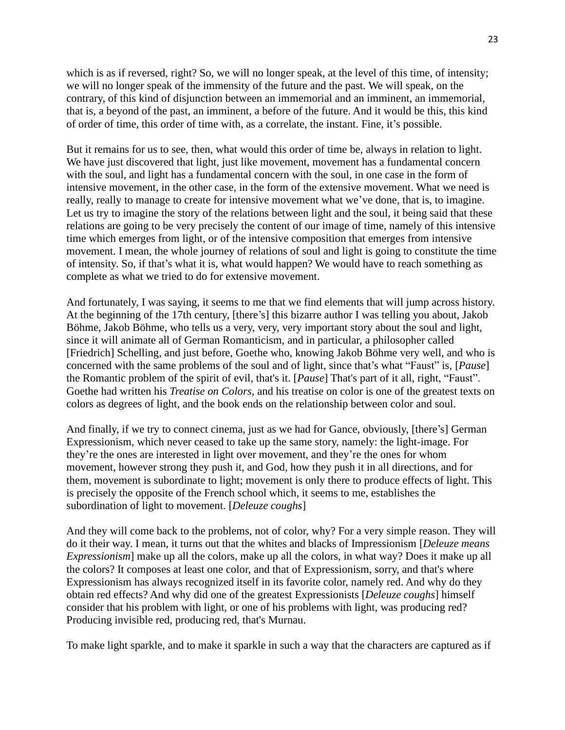which is as if reversed, right? So, we will no longer speak, at the level of this time, of intensity; we will no longer speak of the immensity of the future and the past. We will speak, on the contrary, of this kind of disjunction between an immemorial and an imminent, an immemorial, that is, a beyond of the past, an imminent, a before of the future. And it would be this, this kind of order of time, this order of time with, as a correlate, the instant. Fine, it's possible.

But it remains for us to see, then, what would this order of time be, always in relation to light. We have just discovered that light, just like movement, movement has a fundamental concern with the soul, and light has a fundamental concern with the soul, in one case in the form of intensive movement, in the other case, in the form of the extensive movement. What we need is really, really to manage to create for intensive movement what we've done, that is, to imagine. Let us try to imagine the story of the relations between light and the soul, it being said that these relations are going to be very precisely the content of our image of time, namely of this intensive time which emerges from light, or of the intensive composition that emerges from intensive movement. I mean, the whole journey of relations of soul and light is going to constitute the time of intensity. So, if that's what it is, what would happen? We would have to reach something as complete as what we tried to do for extensive movement.

And fortunately, I was saying, it seems to me that we find elements that will jump across history. At the beginning of the 17th century, [there's] this bizarre author I was telling you about, Jakob Böhme, Jakob Böhme, who tells us a very, very, very important story about the soul and light, since it will animate all of German Romanticism, and in particular, a philosopher called [Friedrich] Schelling, and just before, Goethe who, knowing Jakob Böhme very well, and who is concerned with the same problems of the soul and of light, since that's what "Faust" is, [*Pause*] the Romantic problem of the spirit of evil, that's it. [*Pause*] That's part of it all, right, "Faust". Goethe had written his *Treatise on Colors*, and his treatise on color is one of the greatest texts on colors as degrees of light, and the book ends on the relationship between color and soul.

And finally, if we try to connect cinema, just as we had for Gance, obviously, [there's] German Expressionism, which never ceased to take up the same story, namely: the light-image. For they're the ones are interested in light over movement, and they're the ones for whom movement, however strong they push it, and God, how they push it in all directions, and for them, movement is subordinate to light; movement is only there to produce effects of light. This is precisely the opposite of the French school which, it seems to me, establishes the subordination of light to movement. [*Deleuze coughs*]

And they will come back to the problems, not of color, why? For a very simple reason. They will do it their way. I mean, it turns out that the whites and blacks of Impressionism [*Deleuze means Expressionism*] make up all the colors, make up all the colors, in what way? Does it make up all the colors? It composes at least one color, and that of Expressionism, sorry, and that's where Expressionism has always recognized itself in its favorite color, namely red. And why do they obtain red effects? And why did one of the greatest Expressionists [*Deleuze coughs*] himself consider that his problem with light, or one of his problems with light, was producing red? Producing invisible red, producing red, that's Murnau.

To make light sparkle, and to make it sparkle in such a way that the characters are captured as if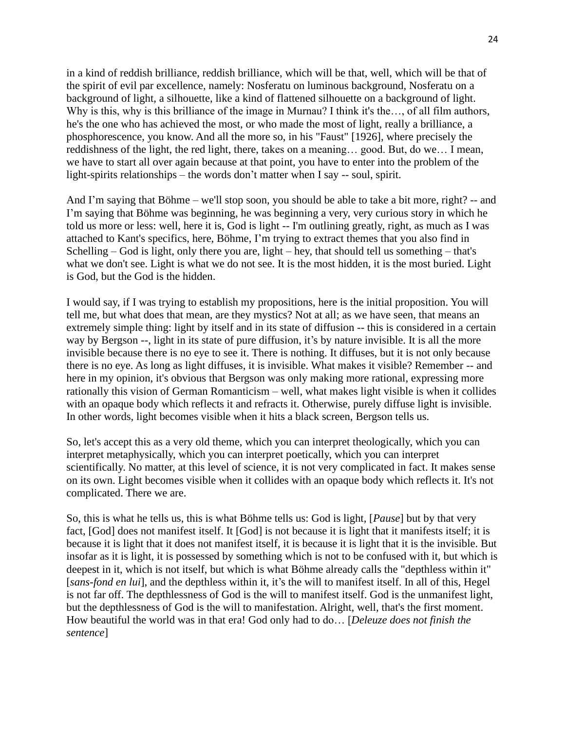in a kind of reddish brilliance, reddish brilliance, which will be that, well, which will be that of the spirit of evil par excellence, namely: Nosferatu on luminous background, Nosferatu on a background of light, a silhouette, like a kind of flattened silhouette on a background of light. Why is this, why is this brilliance of the image in Murnau? I think it's the..., of all film authors, he's the one who has achieved the most, or who made the most of light, really a brilliance, a phosphorescence, you know. And all the more so, in his "Faust" [1926], where precisely the reddishness of the light, the red light, there, takes on a meaning… good. But, do we… I mean, we have to start all over again because at that point, you have to enter into the problem of the light-spirits relationships – the words don't matter when I say -- soul, spirit.

And I'm saying that Böhme – we'll stop soon, you should be able to take a bit more, right? -- and I'm saying that Böhme was beginning, he was beginning a very, very curious story in which he told us more or less: well, here it is, God is light -- I'm outlining greatly, right, as much as I was attached to Kant's specifics, here, Böhme, I'm trying to extract themes that you also find in Schelling – God is light, only there you are, light – hey, that should tell us something – that's what we don't see. Light is what we do not see. It is the most hidden, it is the most buried. Light is God, but the God is the hidden.

I would say, if I was trying to establish my propositions, here is the initial proposition. You will tell me, but what does that mean, are they mystics? Not at all; as we have seen, that means an extremely simple thing: light by itself and in its state of diffusion -- this is considered in a certain way by Bergson --, light in its state of pure diffusion, it's by nature invisible. It is all the more invisible because there is no eye to see it. There is nothing. It diffuses, but it is not only because there is no eye. As long as light diffuses, it is invisible. What makes it visible? Remember -- and here in my opinion, it's obvious that Bergson was only making more rational, expressing more rationally this vision of German Romanticism – well, what makes light visible is when it collides with an opaque body which reflects it and refracts it. Otherwise, purely diffuse light is invisible. In other words, light becomes visible when it hits a black screen, Bergson tells us.

So, let's accept this as a very old theme, which you can interpret theologically, which you can interpret metaphysically, which you can interpret poetically, which you can interpret scientifically. No matter, at this level of science, it is not very complicated in fact. It makes sense on its own. Light becomes visible when it collides with an opaque body which reflects it. It's not complicated. There we are.

So, this is what he tells us, this is what Böhme tells us: God is light, [*Pause*] but by that very fact, [God] does not manifest itself. It [God] is not because it is light that it manifests itself; it is because it is light that it does not manifest itself, it is because it is light that it is the invisible. But insofar as it is light, it is possessed by something which is not to be confused with it, but which is deepest in it, which is not itself, but which is what Böhme already calls the "depthless within it" [*sans-fond en lui*], and the depthless within it, it's the will to manifest itself. In all of this, Hegel is not far off. The depthlessness of God is the will to manifest itself. God is the unmanifest light, but the depthlessness of God is the will to manifestation. Alright, well, that's the first moment. How beautiful the world was in that era! God only had to do… [*Deleuze does not finish the sentence*]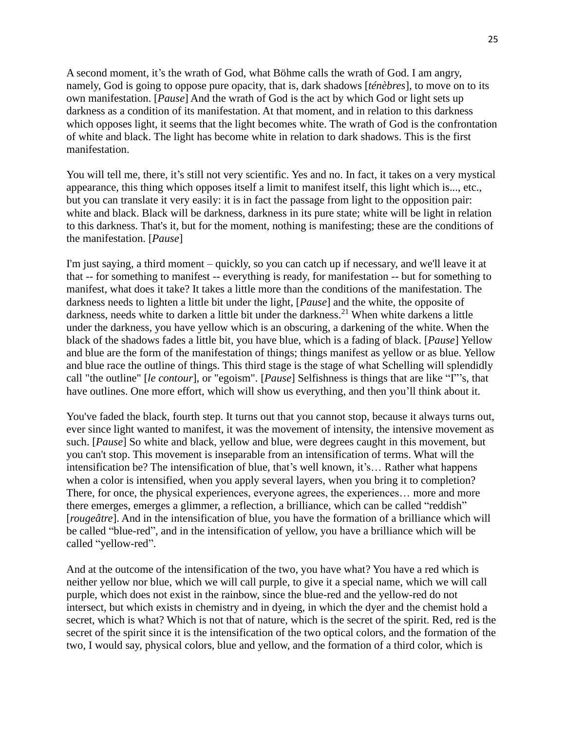A second moment, it's the wrath of God, what Böhme calls the wrath of God. I am angry, namely, God is going to oppose pure opacity, that is, dark shadows [*ténèbres*], to move on to its own manifestation. [*Pause*] And the wrath of God is the act by which God or light sets up darkness as a condition of its manifestation. At that moment, and in relation to this darkness which opposes light, it seems that the light becomes white. The wrath of God is the confrontation of white and black. The light has become white in relation to dark shadows. This is the first manifestation.

You will tell me, there, it's still not very scientific. Yes and no. In fact, it takes on a very mystical appearance, this thing which opposes itself a limit to manifest itself, this light which is..., etc., but you can translate it very easily: it is in fact the passage from light to the opposition pair: white and black. Black will be darkness, darkness in its pure state; white will be light in relation to this darkness. That's it, but for the moment, nothing is manifesting; these are the conditions of the manifestation. [*Pause*]

I'm just saying, a third moment – quickly, so you can catch up if necessary, and we'll leave it at that -- for something to manifest -- everything is ready, for manifestation -- but for something to manifest, what does it take? It takes a little more than the conditions of the manifestation. The darkness needs to lighten a little bit under the light, [*Pause*] and the white, the opposite of darkness, needs white to darken a little bit under the darkness.<sup>21</sup> When white darkens a little under the darkness, you have yellow which is an obscuring, a darkening of the white. When the black of the shadows fades a little bit, you have blue, which is a fading of black. [*Pause*] Yellow and blue are the form of the manifestation of things; things manifest as yellow or as blue. Yellow and blue race the outline of things. This third stage is the stage of what Schelling will splendidly call "the outline" [*le contour*], or "egoism". [*Pause*] Selfishness is things that are like "I"'s, that have outlines. One more effort, which will show us everything, and then you'll think about it.

You've faded the black, fourth step. It turns out that you cannot stop, because it always turns out, ever since light wanted to manifest, it was the movement of intensity, the intensive movement as such. [*Pause*] So white and black, yellow and blue, were degrees caught in this movement, but you can't stop. This movement is inseparable from an intensification of terms. What will the intensification be? The intensification of blue, that's well known, it's… Rather what happens when a color is intensified, when you apply several layers, when you bring it to completion? There, for once, the physical experiences, everyone agrees, the experiences… more and more there emerges, emerges a glimmer, a reflection, a brilliance, which can be called "reddish" [*rougeâtre*]. And in the intensification of blue, you have the formation of a brilliance which will be called "blue-red", and in the intensification of yellow, you have a brilliance which will be called "yellow-red".

And at the outcome of the intensification of the two, you have what? You have a red which is neither yellow nor blue, which we will call purple, to give it a special name, which we will call purple, which does not exist in the rainbow, since the blue-red and the yellow-red do not intersect, but which exists in chemistry and in dyeing, in which the dyer and the chemist hold a secret, which is what? Which is not that of nature, which is the secret of the spirit. Red, red is the secret of the spirit since it is the intensification of the two optical colors, and the formation of the two, I would say, physical colors, blue and yellow, and the formation of a third color, which is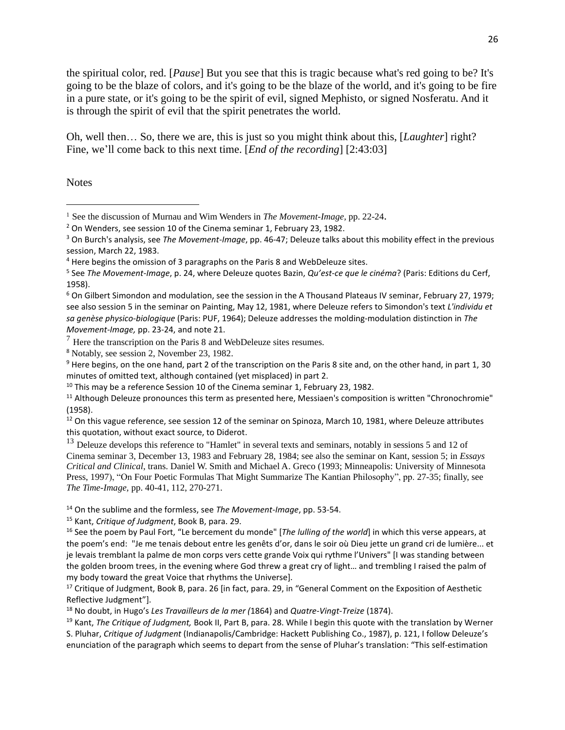the spiritual color, red. [*Pause*] But you see that this is tragic because what's red going to be? It's going to be the blaze of colors, and it's going to be the blaze of the world, and it's going to be fire in a pure state, or it's going to be the spirit of evil, signed Mephisto, or signed Nosferatu. And it is through the spirit of evil that the spirit penetrates the world.

Oh, well then… So, there we are, this is just so you might think about this, [*Laughter*] right? Fine, we'll come back to this next time. [*End of the recording*] [2:43:03]

**Notes** 

 $6$  On Gilbert Simondon and modulation, see the session in the A Thousand Plateaus IV seminar, February 27, 1979; see also session 5 in the seminar on Painting, May 12, 1981, where Deleuze refers to Simondon's text *L'individu et sa genèse physico-biologique* (Paris: PUF, 1964); Deleuze addresses the molding-modulation distinction in *The Movement-Image,* pp. 23-24, and note 21.

 $<sup>7</sup>$  Here the transcription on the Paris 8 and WebDeleuze sites resumes.</sup>

<sup>8</sup> Notably, see session 2, November 23, 1982.

<sup>9</sup> Here begins, on the one hand, part 2 of the transcription on the Paris 8 site and, on the other hand, in part 1, 30 minutes of omitted text, although contained (yet misplaced) in part 2.

 $10$  This may be a reference Session 10 of the Cinema seminar 1, February 23, 1982.

<sup>11</sup> Although Deleuze pronounces this term as presented here, Messiaen's composition is written "Chronochromie" (1958).

 $12$  On this vague reference, see session 12 of the seminar on Spinoza, March 10, 1981, where Deleuze attributes this quotation, without exact source, to Diderot.

<sup>13</sup> Deleuze develops this reference to "Hamlet" in several texts and seminars, notably in sessions 5 and 12 of Cinema seminar 3, December 13, 1983 and February 28, 1984; see also the seminar on Kant, session 5; in *Essays Critical and Clinical*, trans. Daniel W. Smith and Michael A. Greco (1993; Minneapolis: University of Minnesota Press, 1997), "On Four Poetic Formulas That Might Summarize The Kantian Philosophy", pp. 27-35; finally, see *The Time-Image,* pp. 40-41, 112, 270-271.

<sup>14</sup> On the sublime and the formless, see *The Movement-Image*, pp. 53-54.

<sup>15</sup> Kant, *Critique of Judgment*, Book B, para. 29.

<sup>16</sup> See the poem by Paul Fort, "Le bercement du monde" [*The lulling of the world*] in which this verse appears, at the poem's end: "Je me tenais debout entre les genêts d'or, dans le soir où Dieu jette un grand cri de lumière... et je levais tremblant la palme de mon corps vers cette grande Voix qui rythme l'Univers" [I was standing between the golden broom trees, in the evening where God threw a great cry of light… and trembling I raised the palm of my body toward the great Voice that rhythms the Universe].

<sup>17</sup> Critique of Judgment, Book B, para. 26 [in fact, para. 29, in "General Comment on the Exposition of Aesthetic Reflective Judgment"].

<sup>18</sup> No doubt, in Hugo's *Les Travailleurs de la mer (*1864) and *Quatre-Vingt-Treize* (1874).

<sup>19</sup> Kant, *The Critique of Judgment,* Book II, Part B, para. 28. While I begin this quote with the translation by Werner S. Pluhar, *Critique of Judgment* (Indianapolis/Cambridge: Hackett Publishing Co., 1987), p. 121, I follow Deleuze's enunciation of the paragraph which seems to depart from the sense of Pluhar's translation: "This self-estimation

<sup>1</sup> See the discussion of Murnau and Wim Wenders in *The Movement-Image,* pp. 22-24.

<sup>&</sup>lt;sup>2</sup> On Wenders, see session 10 of the Cinema seminar 1, February 23, 1982.

<sup>3</sup> On Burch's analysis, see *The Movement-Image*, pp. 46-47; Deleuze talks about this mobility effect in the previous session, March 22, 1983.

<sup>4</sup> Here begins the omission of 3 paragraphs on the Paris 8 and WebDeleuze sites.

<sup>5</sup> See *The Movement-Image*, p. 24, where Deleuze quotes Bazin, *Qu'est-ce que le cinéma*? (Paris: Editions du Cerf, 1958).